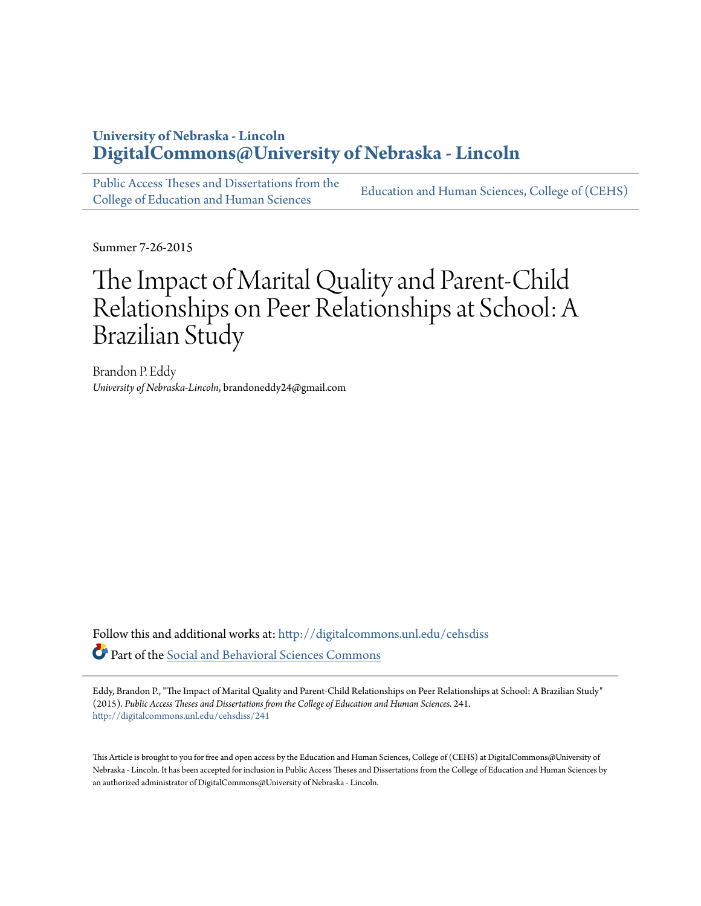# **University of Nebraska - Lincoln [DigitalCommons@University of Nebraska - Lincoln](http://digitalcommons.unl.edu?utm_source=digitalcommons.unl.edu%2Fcehsdiss%2F241&utm_medium=PDF&utm_campaign=PDFCoverPages)**

[Public Access Theses and Dissertations from the](http://digitalcommons.unl.edu/cehsdiss?utm_source=digitalcommons.unl.edu%2Fcehsdiss%2F241&utm_medium=PDF&utm_campaign=PDFCoverPages) [College of Education and Human Sciences](http://digitalcommons.unl.edu/cehsdiss?utm_source=digitalcommons.unl.edu%2Fcehsdiss%2F241&utm_medium=PDF&utm_campaign=PDFCoverPages)

[Education and Human Sciences, College of \(CEHS\)](http://digitalcommons.unl.edu/college_educhumsci?utm_source=digitalcommons.unl.edu%2Fcehsdiss%2F241&utm_medium=PDF&utm_campaign=PDFCoverPages)

Summer 7-26-2015

# The Impact of Marital Quality and Parent-Child Relationships on Peer Relationships at School: A Brazilian Study

Brandon P. Eddy *University of Nebraska-Lincoln*, brandoneddy24@gmail.com

Follow this and additional works at: [http://digitalcommons.unl.edu/cehsdiss](http://digitalcommons.unl.edu/cehsdiss?utm_source=digitalcommons.unl.edu%2Fcehsdiss%2F241&utm_medium=PDF&utm_campaign=PDFCoverPages) Part of the [Social and Behavioral Sciences Commons](http://network.bepress.com/hgg/discipline/316?utm_source=digitalcommons.unl.edu%2Fcehsdiss%2F241&utm_medium=PDF&utm_campaign=PDFCoverPages)

Eddy, Brandon P., "The Impact of Marital Quality and Parent-Child Relationships on Peer Relationships at School: A Brazilian Study" (2015). *Public Access Theses and Dissertations from the College of Education and Human Sciences*. 241. [http://digitalcommons.unl.edu/cehsdiss/241](http://digitalcommons.unl.edu/cehsdiss/241?utm_source=digitalcommons.unl.edu%2Fcehsdiss%2F241&utm_medium=PDF&utm_campaign=PDFCoverPages)

This Article is brought to you for free and open access by the Education and Human Sciences, College of (CEHS) at DigitalCommons@University of Nebraska - Lincoln. It has been accepted for inclusion in Public Access Theses and Dissertations from the College of Education and Human Sciences by an authorized administrator of DigitalCommons@University of Nebraska - Lincoln.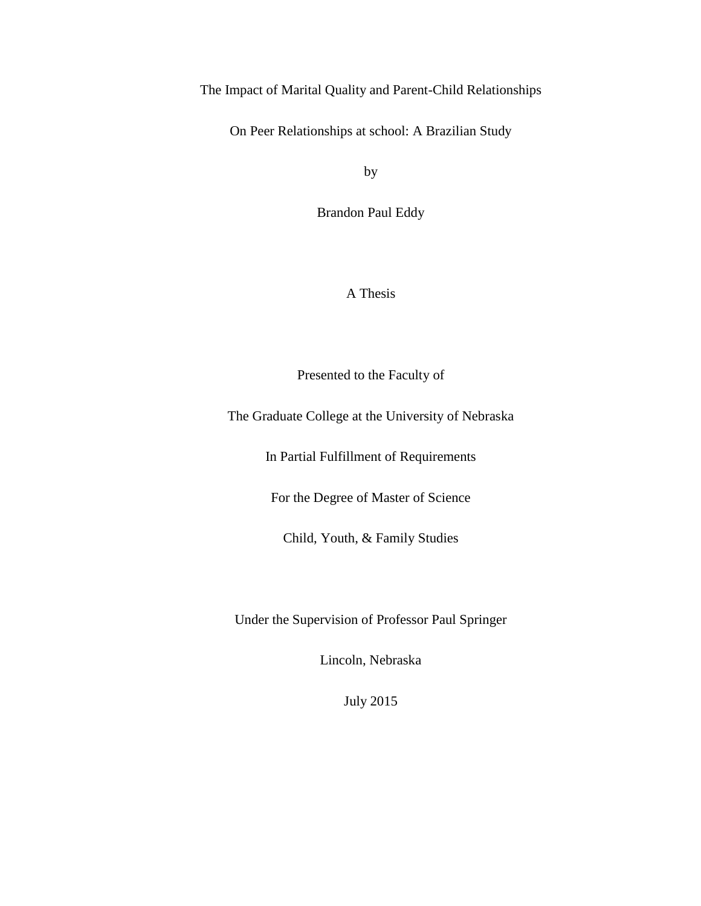The Impact of Marital Quality and Parent-Child Relationships

On Peer Relationships at school: A Brazilian Study

by

Brandon Paul Eddy

A Thesis

Presented to the Faculty of

The Graduate College at the University of Nebraska

In Partial Fulfillment of Requirements

For the Degree of Master of Science

Child, Youth, & Family Studies

Under the Supervision of Professor Paul Springer

Lincoln, Nebraska

July 2015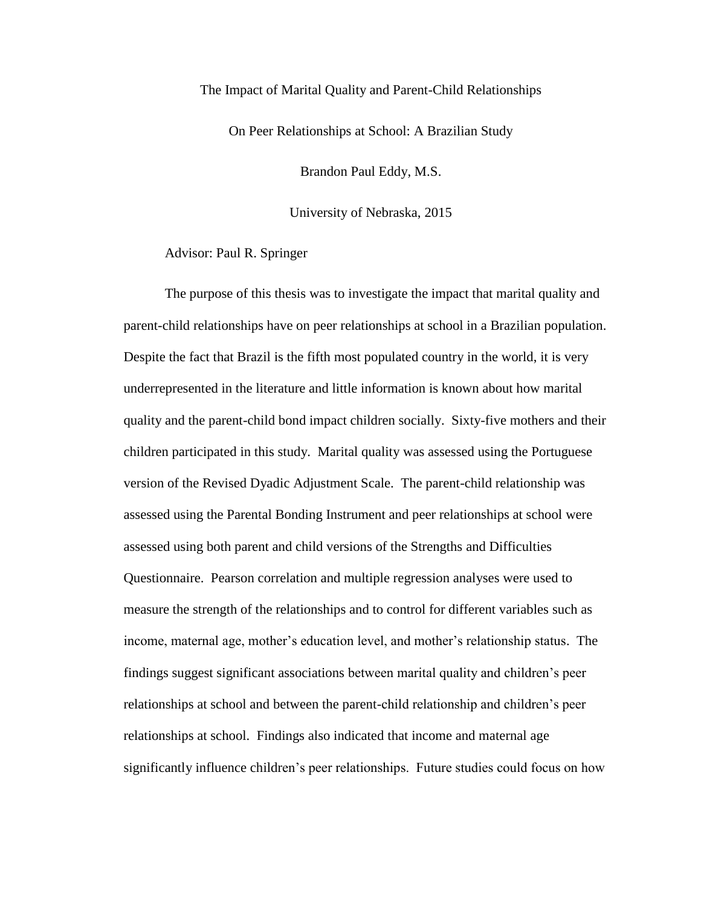# The Impact of Marital Quality and Parent-Child Relationships

On Peer Relationships at School: A Brazilian Study

Brandon Paul Eddy, M.S.

University of Nebraska, 2015

Advisor: Paul R. Springer

The purpose of this thesis was to investigate the impact that marital quality and parent-child relationships have on peer relationships at school in a Brazilian population. Despite the fact that Brazil is the fifth most populated country in the world, it is very underrepresented in the literature and little information is known about how marital quality and the parent-child bond impact children socially. Sixty-five mothers and their children participated in this study. Marital quality was assessed using the Portuguese version of the Revised Dyadic Adjustment Scale. The parent-child relationship was assessed using the Parental Bonding Instrument and peer relationships at school were assessed using both parent and child versions of the Strengths and Difficulties Questionnaire. Pearson correlation and multiple regression analyses were used to measure the strength of the relationships and to control for different variables such as income, maternal age, mother's education level, and mother's relationship status. The findings suggest significant associations between marital quality and children's peer relationships at school and between the parent-child relationship and children's peer relationships at school. Findings also indicated that income and maternal age significantly influence children's peer relationships. Future studies could focus on how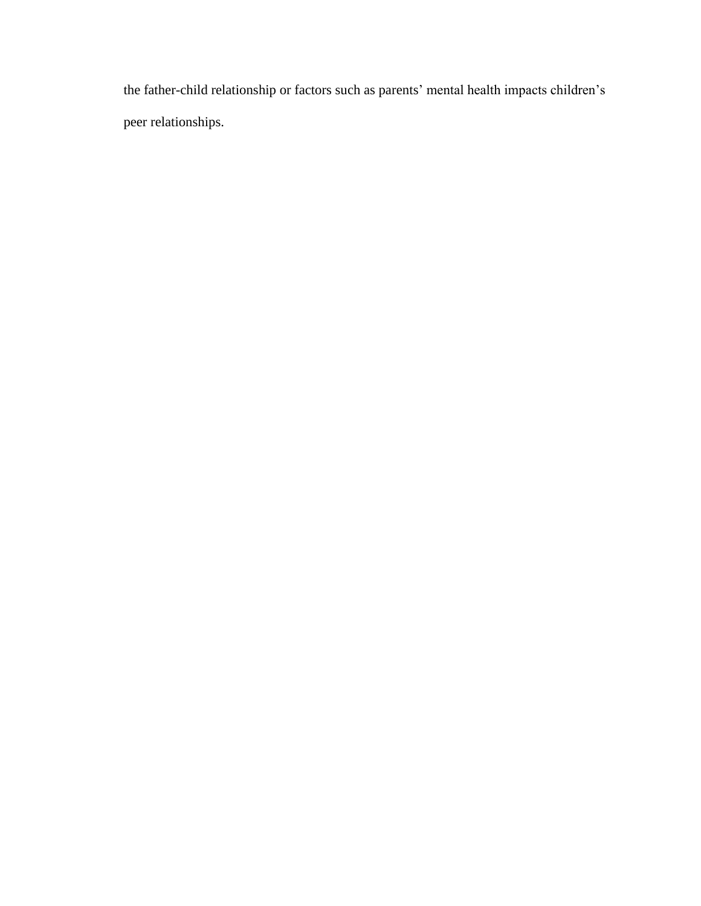the father-child relationship or factors such as parents' mental health impacts children's peer relationships.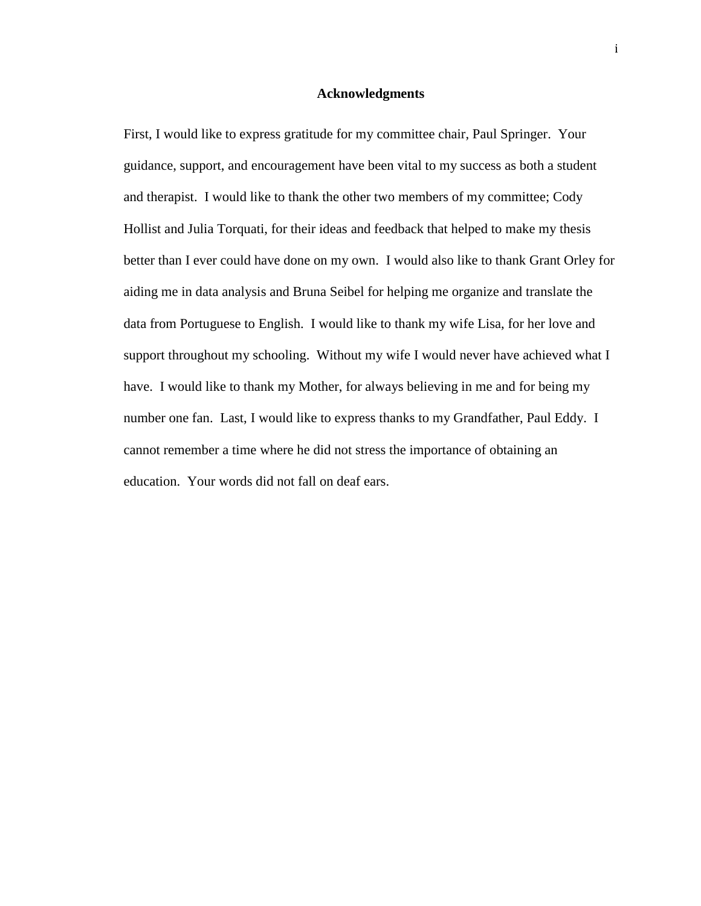# **Acknowledgments**

First, I would like to express gratitude for my committee chair, Paul Springer. Your guidance, support, and encouragement have been vital to my success as both a student and therapist. I would like to thank the other two members of my committee; Cody Hollist and Julia Torquati, for their ideas and feedback that helped to make my thesis better than I ever could have done on my own. I would also like to thank Grant Orley for aiding me in data analysis and Bruna Seibel for helping me organize and translate the data from Portuguese to English. I would like to thank my wife Lisa, for her love and support throughout my schooling. Without my wife I would never have achieved what I have. I would like to thank my Mother, for always believing in me and for being my number one fan. Last, I would like to express thanks to my Grandfather, Paul Eddy. I cannot remember a time where he did not stress the importance of obtaining an education. Your words did not fall on deaf ears.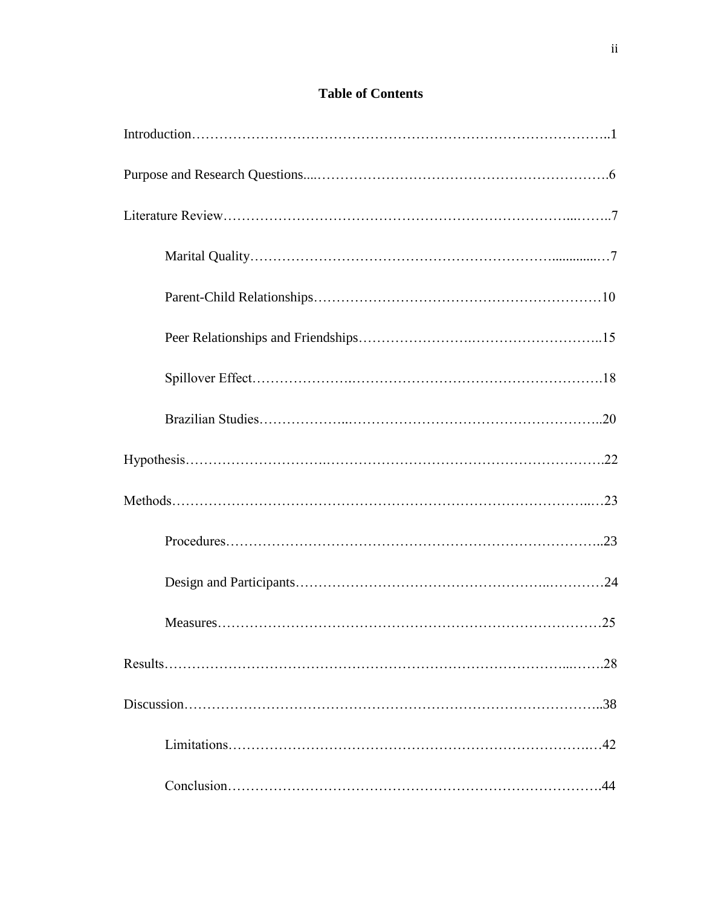# **Table of Contents**

| .28 |
|-----|
|     |
|     |
| 44  |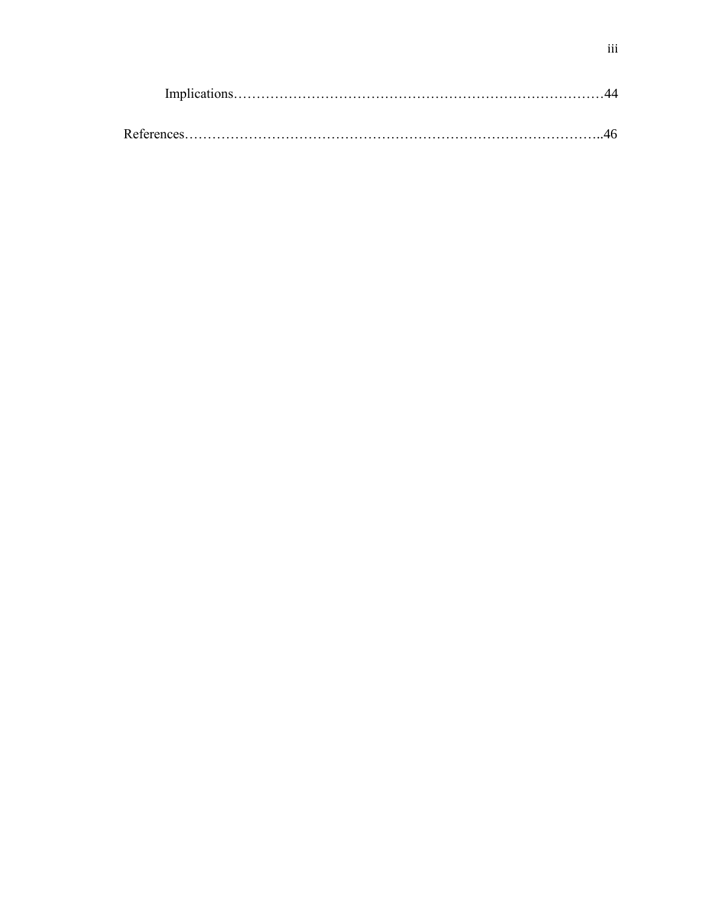| Implications. |  |
|---------------|--|
|               |  |
| References    |  |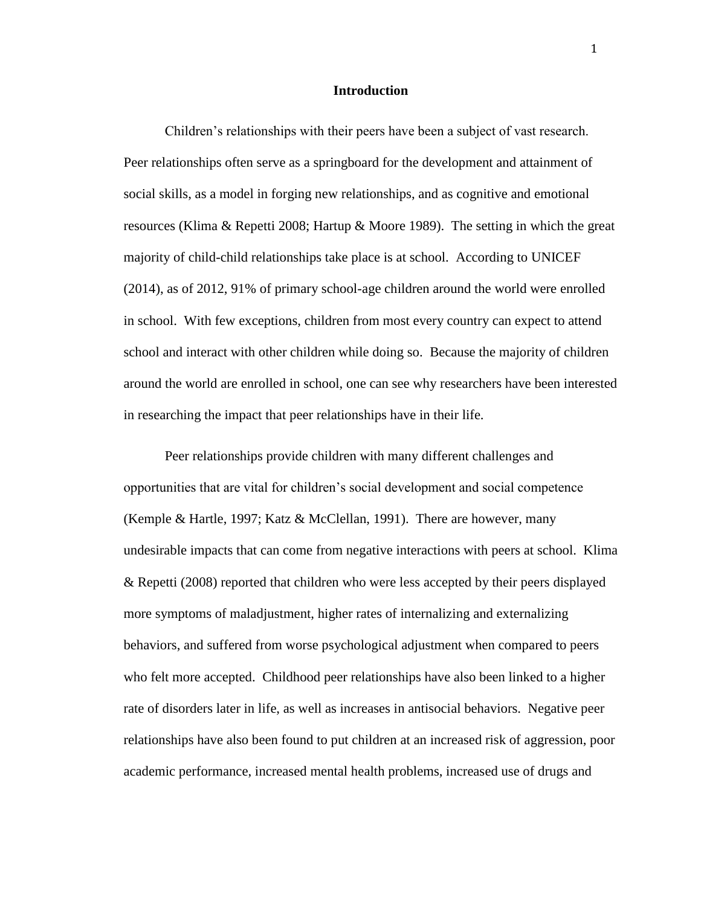#### **Introduction**

Children's relationships with their peers have been a subject of vast research. Peer relationships often serve as a springboard for the development and attainment of social skills, as a model in forging new relationships, and as cognitive and emotional resources (Klima & Repetti 2008; Hartup & Moore 1989). The setting in which the great majority of child-child relationships take place is at school. According to UNICEF (2014), as of 2012, 91% of primary school-age children around the world were enrolled in school. With few exceptions, children from most every country can expect to attend school and interact with other children while doing so. Because the majority of children around the world are enrolled in school, one can see why researchers have been interested in researching the impact that peer relationships have in their life.

Peer relationships provide children with many different challenges and opportunities that are vital for children's social development and social competence (Kemple & Hartle, 1997; Katz & McClellan, 1991). There are however, many undesirable impacts that can come from negative interactions with peers at school. Klima & Repetti (2008) reported that children who were less accepted by their peers displayed more symptoms of maladjustment, higher rates of internalizing and externalizing behaviors, and suffered from worse psychological adjustment when compared to peers who felt more accepted. Childhood peer relationships have also been linked to a higher rate of disorders later in life, as well as increases in antisocial behaviors. Negative peer relationships have also been found to put children at an increased risk of aggression, poor academic performance, increased mental health problems, increased use of drugs and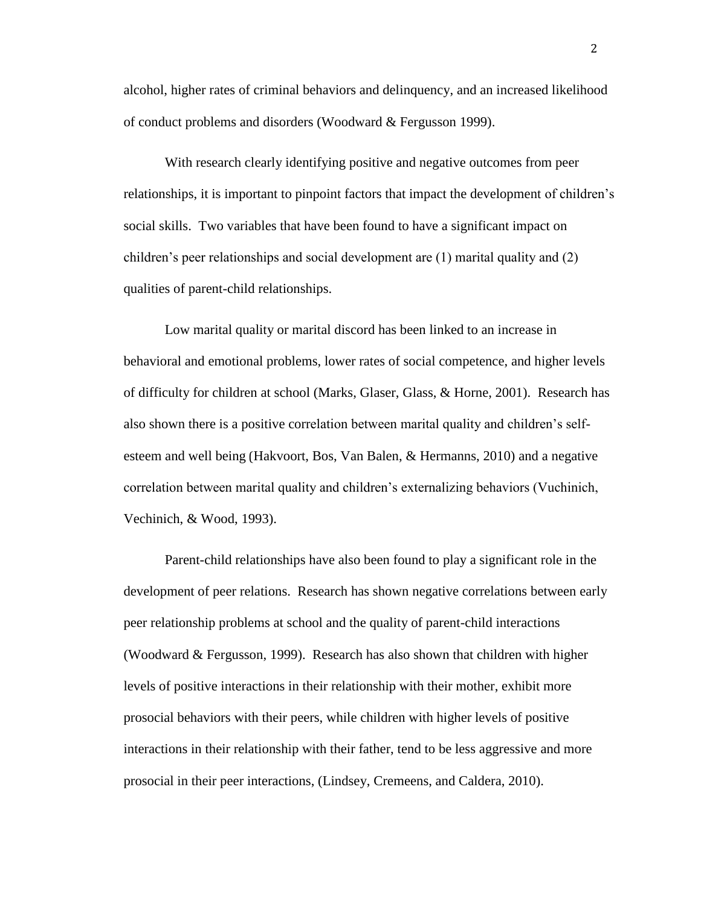alcohol, higher rates of criminal behaviors and delinquency, and an increased likelihood of conduct problems and disorders (Woodward & Fergusson 1999).

With research clearly identifying positive and negative outcomes from peer relationships, it is important to pinpoint factors that impact the development of children's social skills. Two variables that have been found to have a significant impact on children's peer relationships and social development are (1) marital quality and (2) qualities of parent-child relationships.

Low marital quality or marital discord has been linked to an increase in behavioral and emotional problems, lower rates of social competence, and higher levels of difficulty for children at school (Marks, Glaser, Glass, & Horne, 2001). Research has also shown there is a positive correlation between marital quality and children's selfesteem and well being (Hakvoort, Bos, Van Balen, & Hermanns, 2010) and a negative correlation between marital quality and children's externalizing behaviors (Vuchinich, Vechinich, & Wood, 1993).

Parent-child relationships have also been found to play a significant role in the development of peer relations. Research has shown negative correlations between early peer relationship problems at school and the quality of parent-child interactions (Woodward & Fergusson, 1999). Research has also shown that children with higher levels of positive interactions in their relationship with their mother, exhibit more prosocial behaviors with their peers, while children with higher levels of positive interactions in their relationship with their father, tend to be less aggressive and more prosocial in their peer interactions, (Lindsey, Cremeens, and Caldera, 2010).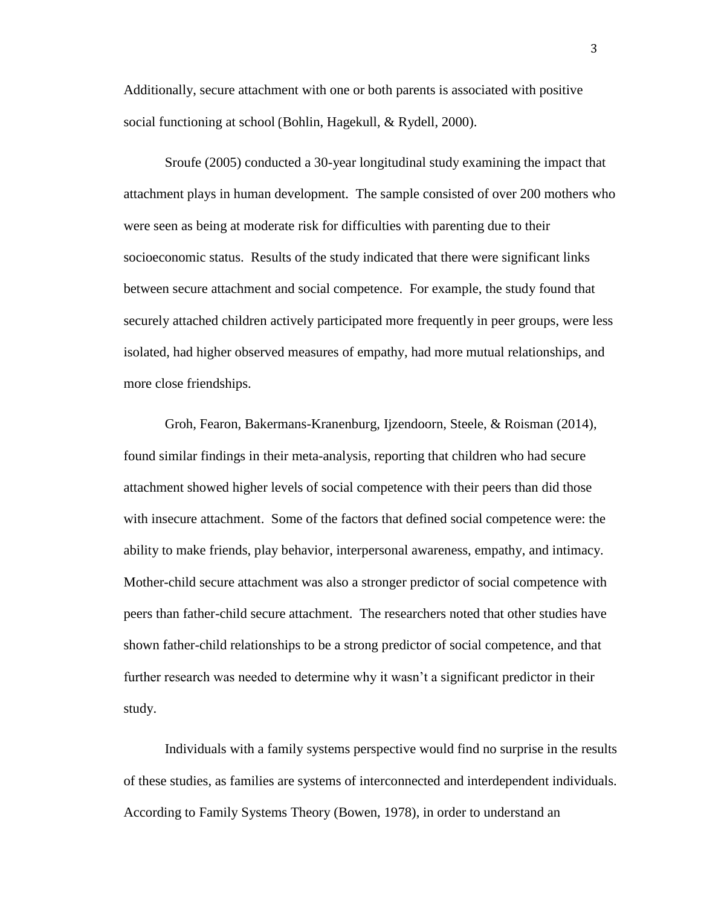Additionally, secure attachment with one or both parents is associated with positive social functioning at school (Bohlin, Hagekull, & Rydell, 2000).

Sroufe (2005) conducted a 30-year longitudinal study examining the impact that attachment plays in human development. The sample consisted of over 200 mothers who were seen as being at moderate risk for difficulties with parenting due to their socioeconomic status. Results of the study indicated that there were significant links between secure attachment and social competence. For example, the study found that securely attached children actively participated more frequently in peer groups, were less isolated, had higher observed measures of empathy, had more mutual relationships, and more close friendships.

Groh, Fearon, Bakermans-Kranenburg, Ijzendoorn, Steele, & Roisman (2014), found similar findings in their meta-analysis, reporting that children who had secure attachment showed higher levels of social competence with their peers than did those with insecure attachment. Some of the factors that defined social competence were: the ability to make friends, play behavior, interpersonal awareness, empathy, and intimacy. Mother-child secure attachment was also a stronger predictor of social competence with peers than father-child secure attachment. The researchers noted that other studies have shown father-child relationships to be a strong predictor of social competence, and that further research was needed to determine why it wasn't a significant predictor in their study.

Individuals with a family systems perspective would find no surprise in the results of these studies, as families are systems of interconnected and interdependent individuals. According to Family Systems Theory (Bowen, 1978), in order to understand an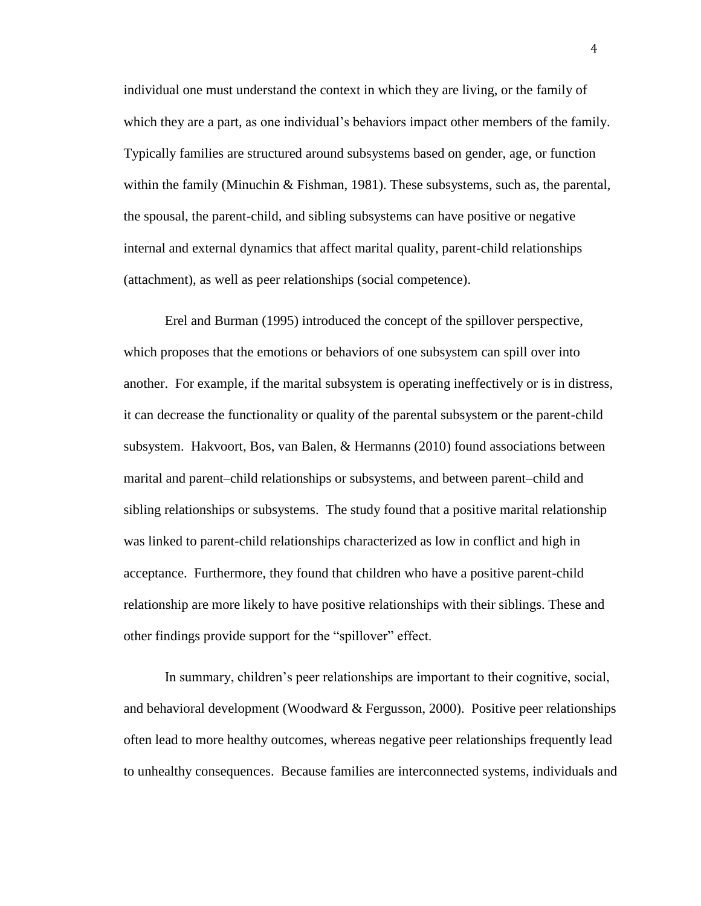individual one must understand the context in which they are living, or the family of which they are a part, as one individual's behaviors impact other members of the family. Typically families are structured around subsystems based on gender, age, or function within the family (Minuchin  $\&$  Fishman, 1981). These subsystems, such as, the parental, the spousal, the parent-child, and sibling subsystems can have positive or negative internal and external dynamics that affect marital quality, parent-child relationships (attachment), as well as peer relationships (social competence).

Erel and Burman (1995) introduced the concept of the spillover perspective, which proposes that the emotions or behaviors of one subsystem can spill over into another. For example, if the marital subsystem is operating ineffectively or is in distress, it can decrease the functionality or quality of the parental subsystem or the parent-child subsystem. Hakvoort, Bos, van Balen, & Hermanns (2010) found associations between marital and parent–child relationships or subsystems, and between parent–child and sibling relationships or subsystems. The study found that a positive marital relationship was linked to parent-child relationships characterized as low in conflict and high in acceptance. Furthermore, they found that children who have a positive parent-child relationship are more likely to have positive relationships with their siblings. These and other findings provide support for the "spillover" effect.

In summary, children's peer relationships are important to their cognitive, social, and behavioral development (Woodward & Fergusson, 2000). Positive peer relationships often lead to more healthy outcomes, whereas negative peer relationships frequently lead to unhealthy consequences. Because families are interconnected systems, individuals and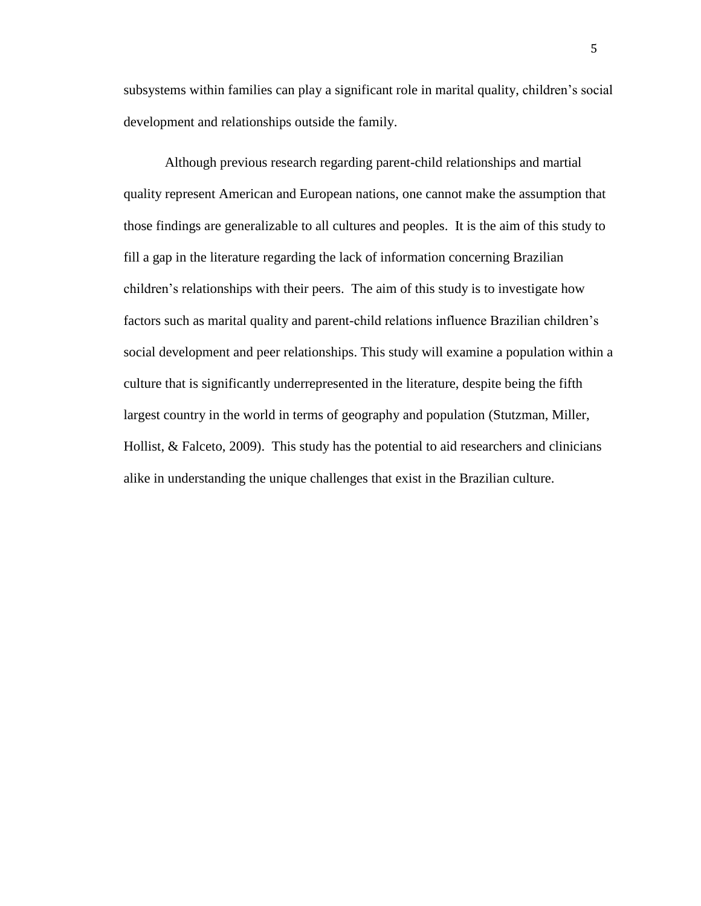subsystems within families can play a significant role in marital quality, children's social development and relationships outside the family.

Although previous research regarding parent-child relationships and martial quality represent American and European nations, one cannot make the assumption that those findings are generalizable to all cultures and peoples. It is the aim of this study to fill a gap in the literature regarding the lack of information concerning Brazilian children's relationships with their peers. The aim of this study is to investigate how factors such as marital quality and parent-child relations influence Brazilian children's social development and peer relationships. This study will examine a population within a culture that is significantly underrepresented in the literature, despite being the fifth largest country in the world in terms of geography and population (Stutzman, Miller, Hollist, & Falceto, 2009). This study has the potential to aid researchers and clinicians alike in understanding the unique challenges that exist in the Brazilian culture.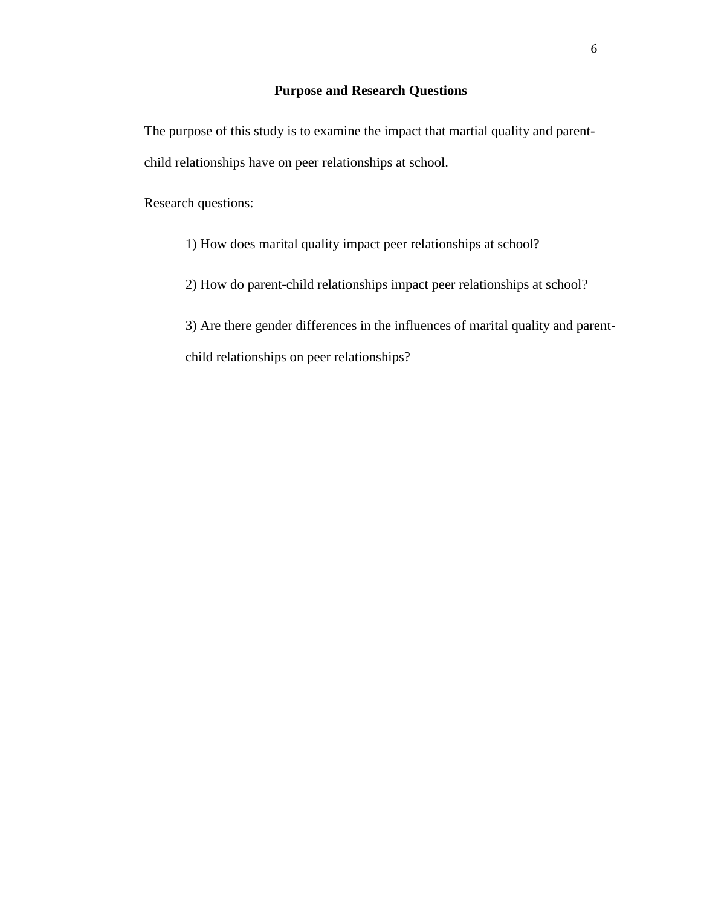# **Purpose and Research Questions**

The purpose of this study is to examine the impact that martial quality and parentchild relationships have on peer relationships at school.

Research questions:

1) How does marital quality impact peer relationships at school?

2) How do parent-child relationships impact peer relationships at school?

3) Are there gender differences in the influences of marital quality and parentchild relationships on peer relationships?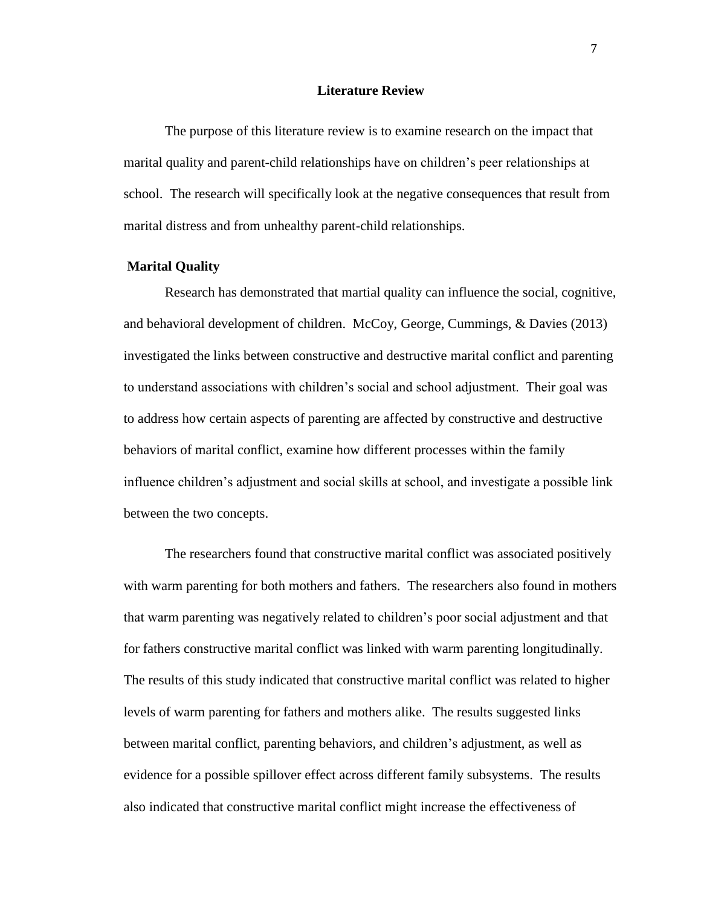#### **Literature Review**

The purpose of this literature review is to examine research on the impact that marital quality and parent-child relationships have on children's peer relationships at school. The research will specifically look at the negative consequences that result from marital distress and from unhealthy parent-child relationships.

# **Marital Quality**

Research has demonstrated that martial quality can influence the social, cognitive, and behavioral development of children. McCoy, George, Cummings, & Davies (2013) investigated the links between constructive and destructive marital conflict and parenting to understand associations with children's social and school adjustment. Their goal was to address how certain aspects of parenting are affected by constructive and destructive behaviors of marital conflict, examine how different processes within the family influence children's adjustment and social skills at school, and investigate a possible link between the two concepts.

The researchers found that constructive marital conflict was associated positively with warm parenting for both mothers and fathers. The researchers also found in mothers that warm parenting was negatively related to children's poor social adjustment and that for fathers constructive marital conflict was linked with warm parenting longitudinally. The results of this study indicated that constructive marital conflict was related to higher levels of warm parenting for fathers and mothers alike. The results suggested links between marital conflict, parenting behaviors, and children's adjustment, as well as evidence for a possible spillover effect across different family subsystems. The results also indicated that constructive marital conflict might increase the effectiveness of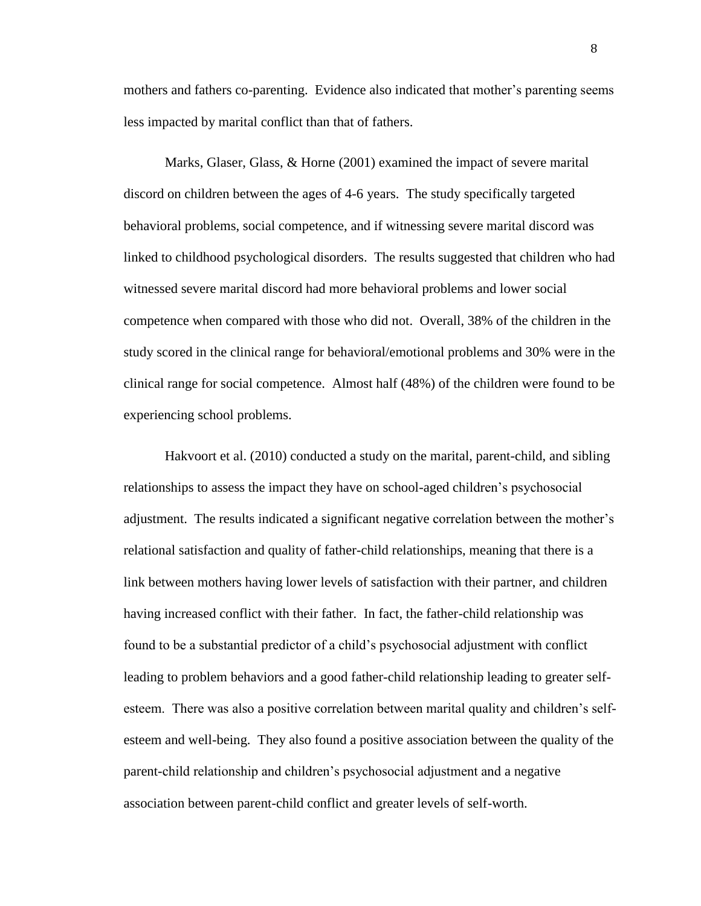mothers and fathers co-parenting. Evidence also indicated that mother's parenting seems less impacted by marital conflict than that of fathers.

Marks, Glaser, Glass, & Horne (2001) examined the impact of severe marital discord on children between the ages of 4-6 years. The study specifically targeted behavioral problems, social competence, and if witnessing severe marital discord was linked to childhood psychological disorders. The results suggested that children who had witnessed severe marital discord had more behavioral problems and lower social competence when compared with those who did not. Overall, 38% of the children in the study scored in the clinical range for behavioral/emotional problems and 30% were in the clinical range for social competence. Almost half (48%) of the children were found to be experiencing school problems.

Hakvoort et al. (2010) conducted a study on the marital, parent-child, and sibling relationships to assess the impact they have on school-aged children's psychosocial adjustment. The results indicated a significant negative correlation between the mother's relational satisfaction and quality of father-child relationships, meaning that there is a link between mothers having lower levels of satisfaction with their partner, and children having increased conflict with their father. In fact, the father-child relationship was found to be a substantial predictor of a child's psychosocial adjustment with conflict leading to problem behaviors and a good father-child relationship leading to greater selfesteem. There was also a positive correlation between marital quality and children's selfesteem and well-being. They also found a positive association between the quality of the parent-child relationship and children's psychosocial adjustment and a negative association between parent-child conflict and greater levels of self-worth.

8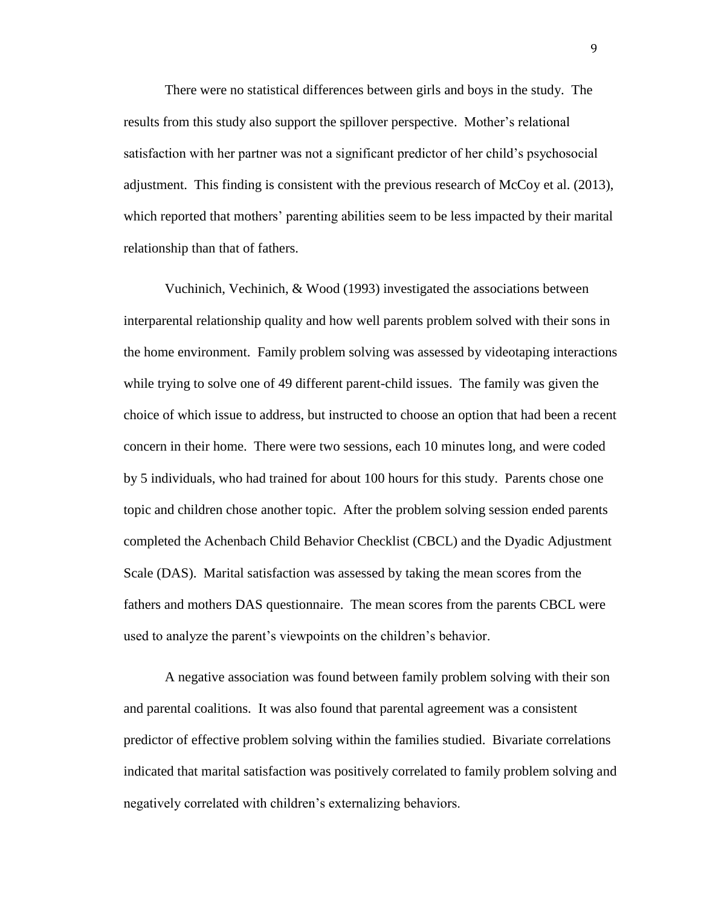There were no statistical differences between girls and boys in the study. The results from this study also support the spillover perspective. Mother's relational satisfaction with her partner was not a significant predictor of her child's psychosocial adjustment. This finding is consistent with the previous research of McCoy et al. (2013), which reported that mothers' parenting abilities seem to be less impacted by their marital relationship than that of fathers.

Vuchinich, Vechinich, & Wood (1993) investigated the associations between interparental relationship quality and how well parents problem solved with their sons in the home environment. Family problem solving was assessed by videotaping interactions while trying to solve one of 49 different parent-child issues. The family was given the choice of which issue to address, but instructed to choose an option that had been a recent concern in their home. There were two sessions, each 10 minutes long, and were coded by 5 individuals, who had trained for about 100 hours for this study. Parents chose one topic and children chose another topic. After the problem solving session ended parents completed the Achenbach Child Behavior Checklist (CBCL) and the Dyadic Adjustment Scale (DAS). Marital satisfaction was assessed by taking the mean scores from the fathers and mothers DAS questionnaire. The mean scores from the parents CBCL were used to analyze the parent's viewpoints on the children's behavior.

A negative association was found between family problem solving with their son and parental coalitions. It was also found that parental agreement was a consistent predictor of effective problem solving within the families studied. Bivariate correlations indicated that marital satisfaction was positively correlated to family problem solving and negatively correlated with children's externalizing behaviors.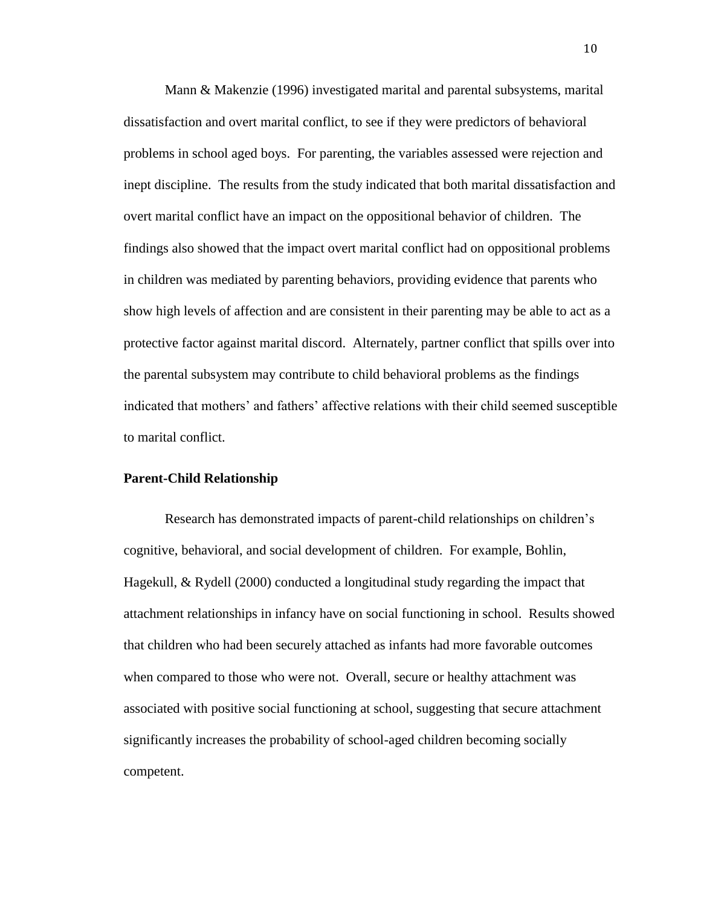Mann & Makenzie (1996) investigated marital and parental subsystems, marital dissatisfaction and overt marital conflict, to see if they were predictors of behavioral problems in school aged boys. For parenting, the variables assessed were rejection and inept discipline. The results from the study indicated that both marital dissatisfaction and overt marital conflict have an impact on the oppositional behavior of children. The findings also showed that the impact overt marital conflict had on oppositional problems in children was mediated by parenting behaviors, providing evidence that parents who show high levels of affection and are consistent in their parenting may be able to act as a protective factor against marital discord. Alternately, partner conflict that spills over into the parental subsystem may contribute to child behavioral problems as the findings indicated that mothers' and fathers' affective relations with their child seemed susceptible to marital conflict.

# **Parent-Child Relationship**

Research has demonstrated impacts of parent-child relationships on children's cognitive, behavioral, and social development of children. For example, Bohlin, Hagekull, & Rydell (2000) conducted a longitudinal study regarding the impact that attachment relationships in infancy have on social functioning in school. Results showed that children who had been securely attached as infants had more favorable outcomes when compared to those who were not. Overall, secure or healthy attachment was associated with positive social functioning at school, suggesting that secure attachment significantly increases the probability of school-aged children becoming socially competent.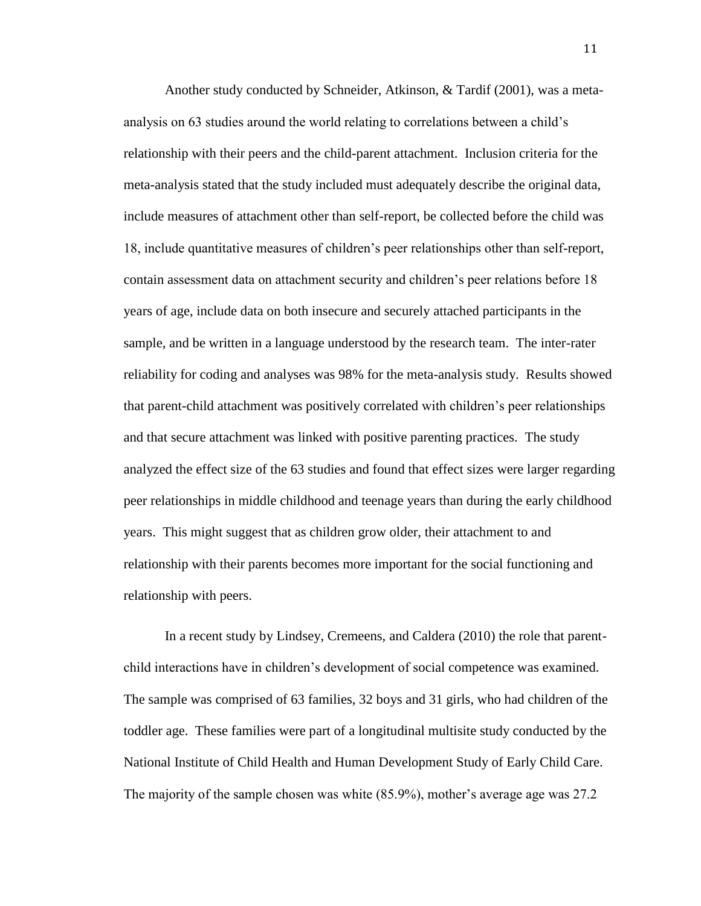Another study conducted by Schneider, Atkinson, & Tardif (2001), was a metaanalysis on 63 studies around the world relating to correlations between a child's relationship with their peers and the child-parent attachment. Inclusion criteria for the meta-analysis stated that the study included must adequately describe the original data, include measures of attachment other than self-report, be collected before the child was 18, include quantitative measures of children's peer relationships other than self-report, contain assessment data on attachment security and children's peer relations before 18 years of age, include data on both insecure and securely attached participants in the sample, and be written in a language understood by the research team. The inter-rater reliability for coding and analyses was 98% for the meta-analysis study. Results showed that parent-child attachment was positively correlated with children's peer relationships and that secure attachment was linked with positive parenting practices. The study analyzed the effect size of the 63 studies and found that effect sizes were larger regarding peer relationships in middle childhood and teenage years than during the early childhood years. This might suggest that as children grow older, their attachment to and relationship with their parents becomes more important for the social functioning and relationship with peers.

In a recent study by Lindsey, Cremeens, and Caldera (2010) the role that parentchild interactions have in children's development of social competence was examined. The sample was comprised of 63 families, 32 boys and 31 girls, who had children of the toddler age. These families were part of a longitudinal multisite study conducted by the National Institute of Child Health and Human Development Study of Early Child Care. The majority of the sample chosen was white (85.9%), mother's average age was 27.2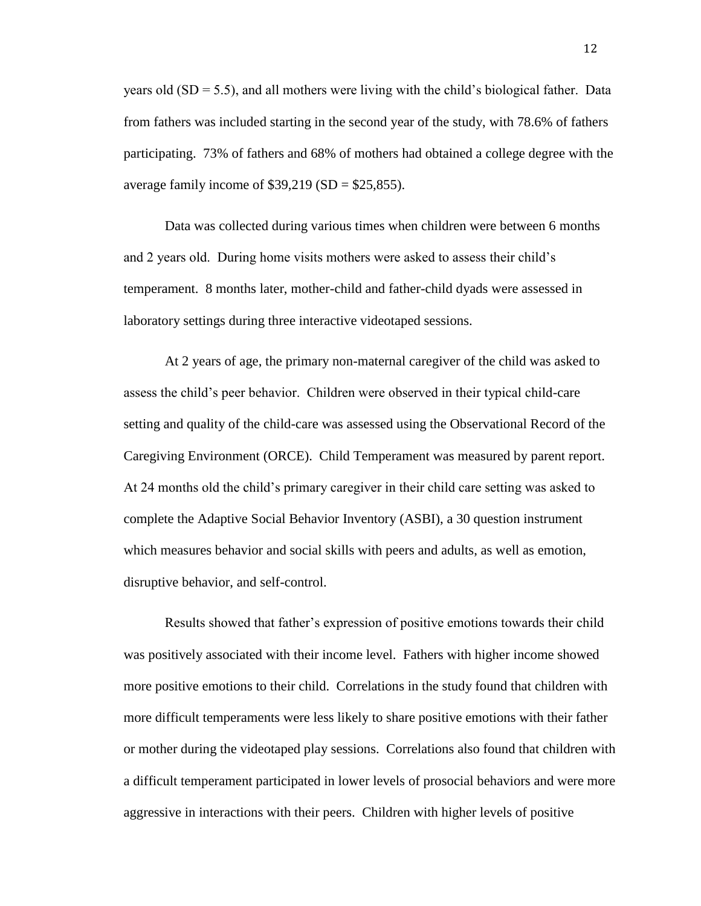years old  $(SD = 5.5)$ , and all mothers were living with the child's biological father. Data from fathers was included starting in the second year of the study, with 78.6% of fathers participating. 73% of fathers and 68% of mothers had obtained a college degree with the average family income of  $$39,219$  (SD =  $$25,855$ ).

Data was collected during various times when children were between 6 months and 2 years old. During home visits mothers were asked to assess their child's temperament. 8 months later, mother-child and father-child dyads were assessed in laboratory settings during three interactive videotaped sessions.

At 2 years of age, the primary non-maternal caregiver of the child was asked to assess the child's peer behavior. Children were observed in their typical child-care setting and quality of the child-care was assessed using the Observational Record of the Caregiving Environment (ORCE). Child Temperament was measured by parent report. At 24 months old the child's primary caregiver in their child care setting was asked to complete the Adaptive Social Behavior Inventory (ASBI), a 30 question instrument which measures behavior and social skills with peers and adults, as well as emotion, disruptive behavior, and self-control.

Results showed that father's expression of positive emotions towards their child was positively associated with their income level. Fathers with higher income showed more positive emotions to their child. Correlations in the study found that children with more difficult temperaments were less likely to share positive emotions with their father or mother during the videotaped play sessions. Correlations also found that children with a difficult temperament participated in lower levels of prosocial behaviors and were more aggressive in interactions with their peers. Children with higher levels of positive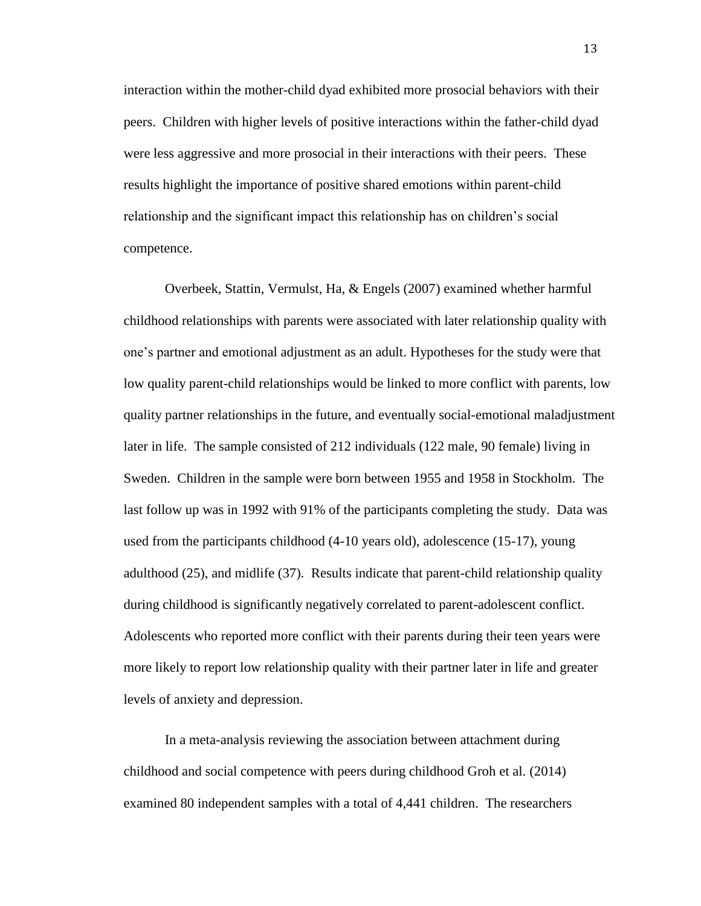interaction within the mother-child dyad exhibited more prosocial behaviors with their peers. Children with higher levels of positive interactions within the father-child dyad were less aggressive and more prosocial in their interactions with their peers. These results highlight the importance of positive shared emotions within parent-child relationship and the significant impact this relationship has on children's social competence.

Overbeek, Stattin, Vermulst, Ha, & Engels (2007) examined whether harmful childhood relationships with parents were associated with later relationship quality with one's partner and emotional adjustment as an adult. Hypotheses for the study were that low quality parent-child relationships would be linked to more conflict with parents, low quality partner relationships in the future, and eventually social-emotional maladjustment later in life. The sample consisted of 212 individuals (122 male, 90 female) living in Sweden. Children in the sample were born between 1955 and 1958 in Stockholm. The last follow up was in 1992 with 91% of the participants completing the study. Data was used from the participants childhood (4-10 years old), adolescence (15-17), young adulthood (25), and midlife (37). Results indicate that parent-child relationship quality during childhood is significantly negatively correlated to parent-adolescent conflict. Adolescents who reported more conflict with their parents during their teen years were more likely to report low relationship quality with their partner later in life and greater levels of anxiety and depression.

In a meta-analysis reviewing the association between attachment during childhood and social competence with peers during childhood Groh et al. (2014) examined 80 independent samples with a total of 4,441 children. The researchers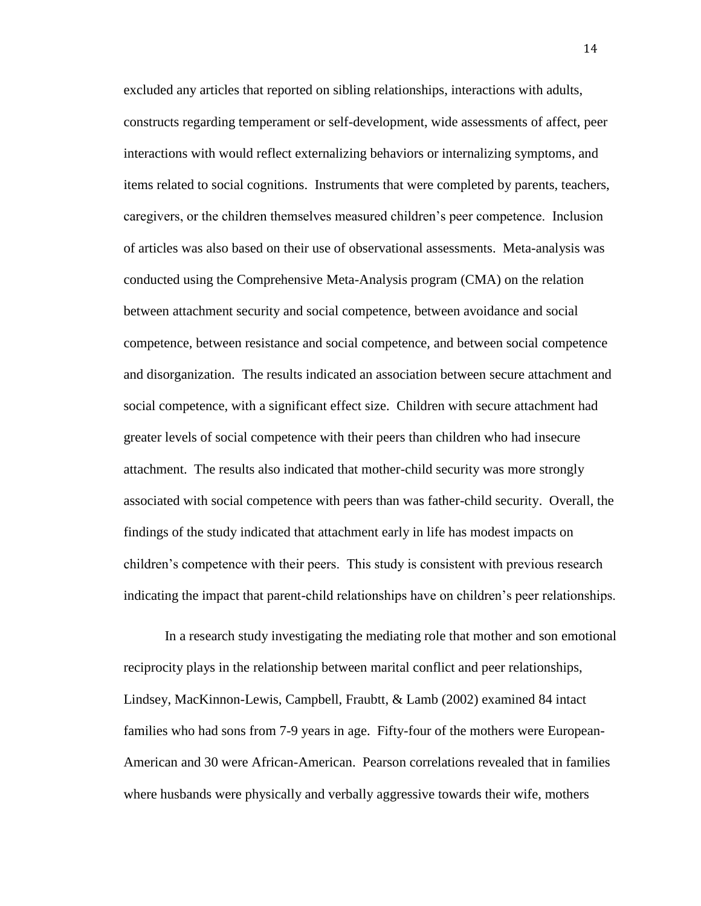excluded any articles that reported on sibling relationships, interactions with adults, constructs regarding temperament or self-development, wide assessments of affect, peer interactions with would reflect externalizing behaviors or internalizing symptoms, and items related to social cognitions. Instruments that were completed by parents, teachers, caregivers, or the children themselves measured children's peer competence. Inclusion of articles was also based on their use of observational assessments. Meta-analysis was conducted using the Comprehensive Meta-Analysis program (CMA) on the relation between attachment security and social competence, between avoidance and social competence, between resistance and social competence, and between social competence and disorganization. The results indicated an association between secure attachment and social competence, with a significant effect size. Children with secure attachment had greater levels of social competence with their peers than children who had insecure attachment. The results also indicated that mother-child security was more strongly associated with social competence with peers than was father-child security. Overall, the findings of the study indicated that attachment early in life has modest impacts on children's competence with their peers. This study is consistent with previous research indicating the impact that parent-child relationships have on children's peer relationships.

In a research study investigating the mediating role that mother and son emotional reciprocity plays in the relationship between marital conflict and peer relationships, Lindsey, MacKinnon-Lewis, Campbell, Fraubtt, & Lamb (2002) examined 84 intact families who had sons from 7-9 years in age. Fifty-four of the mothers were European-American and 30 were African-American. Pearson correlations revealed that in families where husbands were physically and verbally aggressive towards their wife, mothers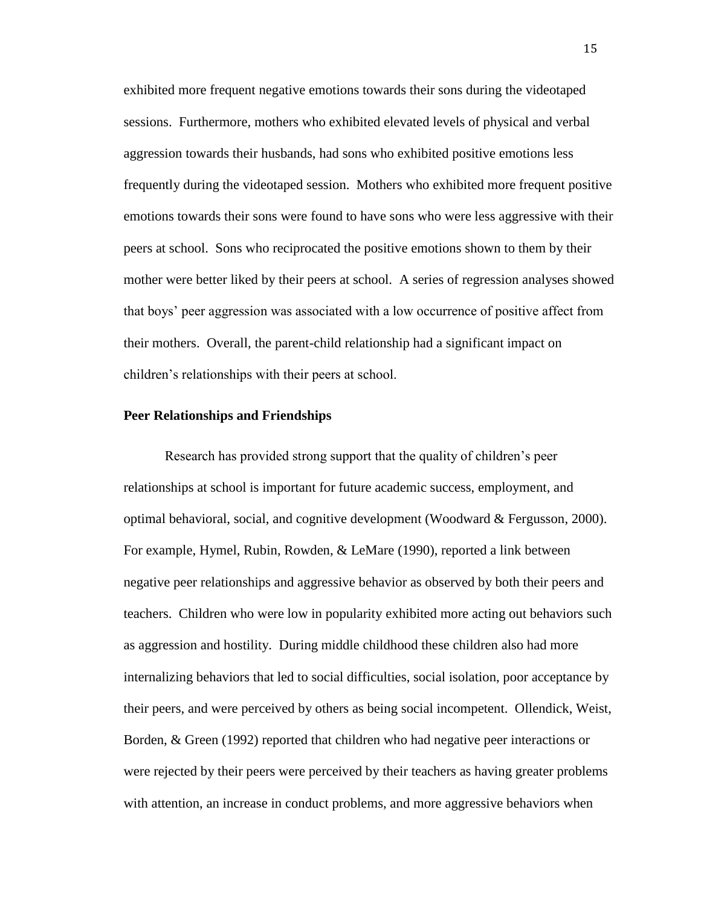exhibited more frequent negative emotions towards their sons during the videotaped sessions. Furthermore, mothers who exhibited elevated levels of physical and verbal aggression towards their husbands, had sons who exhibited positive emotions less frequently during the videotaped session. Mothers who exhibited more frequent positive emotions towards their sons were found to have sons who were less aggressive with their peers at school. Sons who reciprocated the positive emotions shown to them by their mother were better liked by their peers at school. A series of regression analyses showed that boys' peer aggression was associated with a low occurrence of positive affect from their mothers. Overall, the parent-child relationship had a significant impact on children's relationships with their peers at school.

# **Peer Relationships and Friendships**

Research has provided strong support that the quality of children's peer relationships at school is important for future academic success, employment, and optimal behavioral, social, and cognitive development (Woodward  $\&$  Fergusson, 2000). For example, Hymel, Rubin, Rowden, & LeMare (1990), reported a link between negative peer relationships and aggressive behavior as observed by both their peers and teachers. Children who were low in popularity exhibited more acting out behaviors such as aggression and hostility. During middle childhood these children also had more internalizing behaviors that led to social difficulties, social isolation, poor acceptance by their peers, and were perceived by others as being social incompetent. Ollendick, Weist, Borden, & Green (1992) reported that children who had negative peer interactions or were rejected by their peers were perceived by their teachers as having greater problems with attention, an increase in conduct problems, and more aggressive behaviors when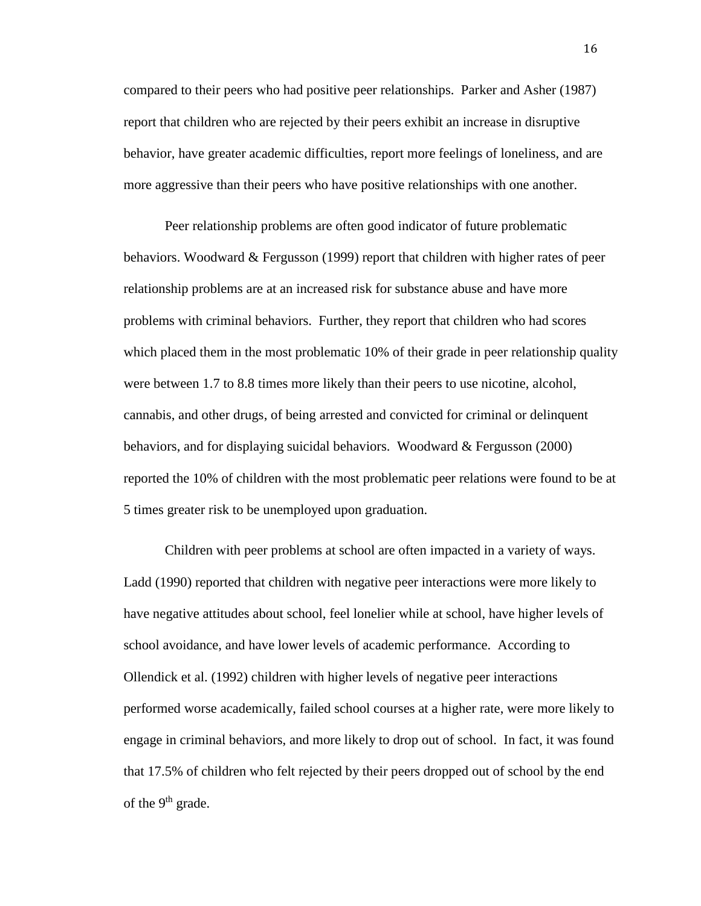compared to their peers who had positive peer relationships. Parker and Asher (1987) report that children who are rejected by their peers exhibit an increase in disruptive behavior, have greater academic difficulties, report more feelings of loneliness, and are more aggressive than their peers who have positive relationships with one another.

Peer relationship problems are often good indicator of future problematic behaviors. Woodward & Fergusson (1999) report that children with higher rates of peer relationship problems are at an increased risk for substance abuse and have more problems with criminal behaviors. Further, they report that children who had scores which placed them in the most problematic 10% of their grade in peer relationship quality were between 1.7 to 8.8 times more likely than their peers to use nicotine, alcohol, cannabis, and other drugs, of being arrested and convicted for criminal or delinquent behaviors, and for displaying suicidal behaviors. Woodward & Fergusson (2000) reported the 10% of children with the most problematic peer relations were found to be at 5 times greater risk to be unemployed upon graduation.

Children with peer problems at school are often impacted in a variety of ways. Ladd (1990) reported that children with negative peer interactions were more likely to have negative attitudes about school, feel lonelier while at school, have higher levels of school avoidance, and have lower levels of academic performance. According to Ollendick et al. (1992) children with higher levels of negative peer interactions performed worse academically, failed school courses at a higher rate, were more likely to engage in criminal behaviors, and more likely to drop out of school. In fact, it was found that 17.5% of children who felt rejected by their peers dropped out of school by the end of the  $9<sup>th</sup>$  grade.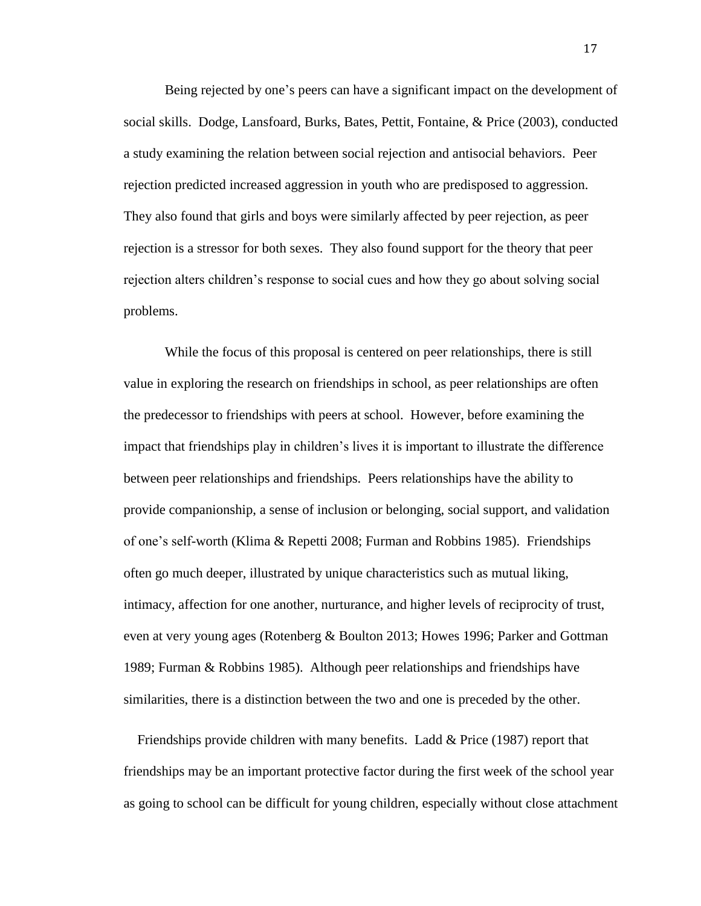Being rejected by one's peers can have a significant impact on the development of social skills. Dodge, Lansfoard, Burks, Bates, Pettit, Fontaine, & Price (2003), conducted a study examining the relation between social rejection and antisocial behaviors. Peer rejection predicted increased aggression in youth who are predisposed to aggression. They also found that girls and boys were similarly affected by peer rejection, as peer rejection is a stressor for both sexes. They also found support for the theory that peer rejection alters children's response to social cues and how they go about solving social problems.

While the focus of this proposal is centered on peer relationships, there is still value in exploring the research on friendships in school, as peer relationships are often the predecessor to friendships with peers at school. However, before examining the impact that friendships play in children's lives it is important to illustrate the difference between peer relationships and friendships. Peers relationships have the ability to provide companionship, a sense of inclusion or belonging, social support, and validation of one's self-worth (Klima & Repetti 2008; Furman and Robbins 1985). Friendships often go much deeper, illustrated by unique characteristics such as mutual liking, intimacy, affection for one another, nurturance, and higher levels of reciprocity of trust, even at very young ages (Rotenberg & Boulton 2013; Howes 1996; Parker and Gottman 1989; Furman & Robbins 1985). Although peer relationships and friendships have similarities, there is a distinction between the two and one is preceded by the other.

 Friendships provide children with many benefits. Ladd & Price (1987) report that friendships may be an important protective factor during the first week of the school year as going to school can be difficult for young children, especially without close attachment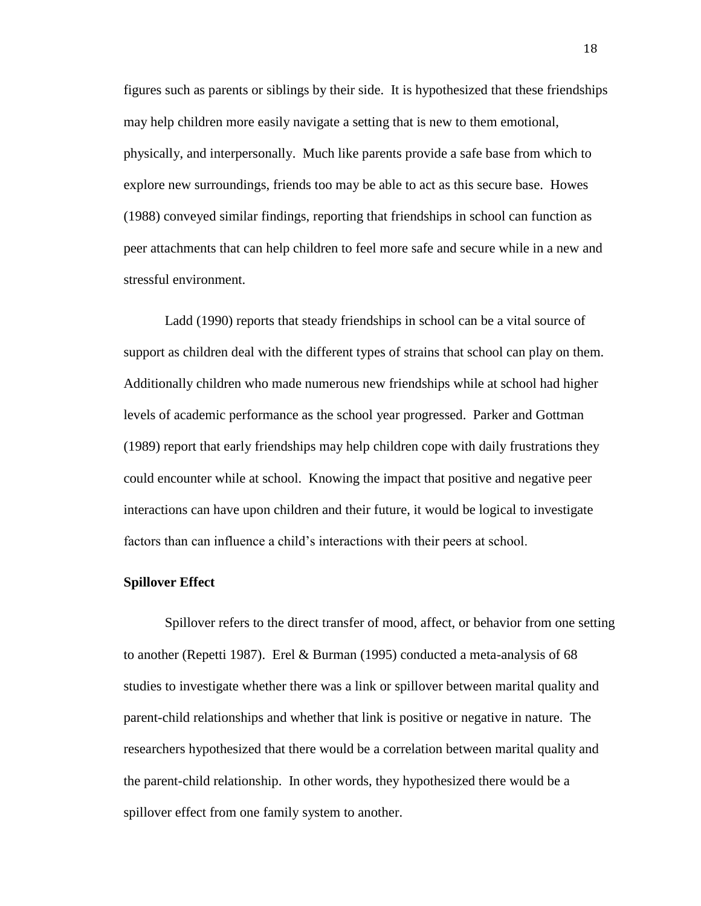figures such as parents or siblings by their side. It is hypothesized that these friendships may help children more easily navigate a setting that is new to them emotional, physically, and interpersonally. Much like parents provide a safe base from which to explore new surroundings, friends too may be able to act as this secure base. Howes (1988) conveyed similar findings, reporting that friendships in school can function as peer attachments that can help children to feel more safe and secure while in a new and stressful environment.

Ladd (1990) reports that steady friendships in school can be a vital source of support as children deal with the different types of strains that school can play on them. Additionally children who made numerous new friendships while at school had higher levels of academic performance as the school year progressed. Parker and Gottman (1989) report that early friendships may help children cope with daily frustrations they could encounter while at school. Knowing the impact that positive and negative peer interactions can have upon children and their future, it would be logical to investigate factors than can influence a child's interactions with their peers at school.

#### **Spillover Effect**

Spillover refers to the direct transfer of mood, affect, or behavior from one setting to another (Repetti 1987). Erel & Burman (1995) conducted a meta-analysis of 68 studies to investigate whether there was a link or spillover between marital quality and parent-child relationships and whether that link is positive or negative in nature. The researchers hypothesized that there would be a correlation between marital quality and the parent-child relationship. In other words, they hypothesized there would be a spillover effect from one family system to another.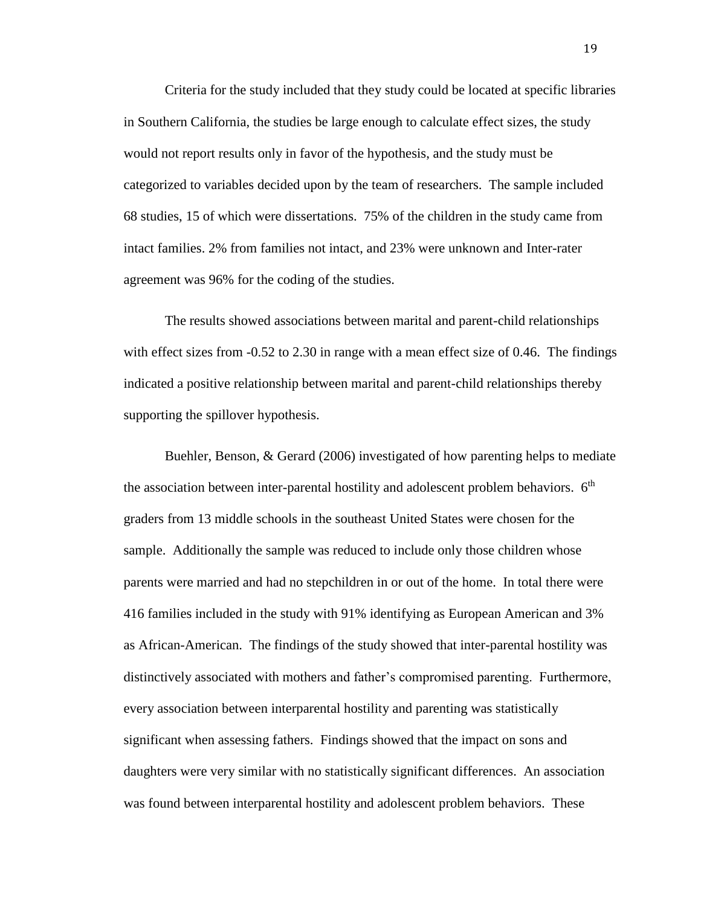Criteria for the study included that they study could be located at specific libraries in Southern California, the studies be large enough to calculate effect sizes, the study would not report results only in favor of the hypothesis, and the study must be categorized to variables decided upon by the team of researchers. The sample included 68 studies, 15 of which were dissertations. 75% of the children in the study came from intact families. 2% from families not intact, and 23% were unknown and Inter-rater agreement was 96% for the coding of the studies.

The results showed associations between marital and parent-child relationships with effect sizes from -0.52 to 2.30 in range with a mean effect size of 0.46. The findings indicated a positive relationship between marital and parent-child relationships thereby supporting the spillover hypothesis.

Buehler, Benson, & Gerard (2006) investigated of how parenting helps to mediate the association between inter-parental hostility and adolescent problem behaviors.  $6<sup>th</sup>$ graders from 13 middle schools in the southeast United States were chosen for the sample. Additionally the sample was reduced to include only those children whose parents were married and had no stepchildren in or out of the home. In total there were 416 families included in the study with 91% identifying as European American and 3% as African-American. The findings of the study showed that inter-parental hostility was distinctively associated with mothers and father's compromised parenting. Furthermore, every association between interparental hostility and parenting was statistically significant when assessing fathers. Findings showed that the impact on sons and daughters were very similar with no statistically significant differences. An association was found between interparental hostility and adolescent problem behaviors. These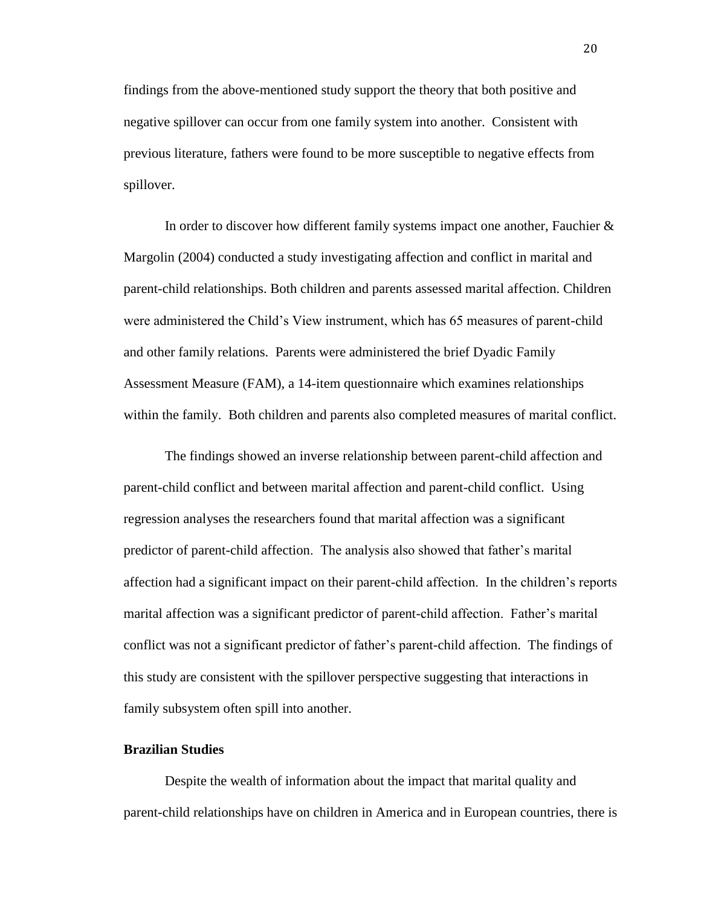findings from the above-mentioned study support the theory that both positive and negative spillover can occur from one family system into another. Consistent with previous literature, fathers were found to be more susceptible to negative effects from spillover.

In order to discover how different family systems impact one another, Fauchier & Margolin (2004) conducted a study investigating affection and conflict in marital and parent-child relationships. Both children and parents assessed marital affection. Children were administered the Child's View instrument, which has 65 measures of parent-child and other family relations. Parents were administered the brief Dyadic Family Assessment Measure (FAM), a 14-item questionnaire which examines relationships within the family. Both children and parents also completed measures of marital conflict.

The findings showed an inverse relationship between parent-child affection and parent-child conflict and between marital affection and parent-child conflict. Using regression analyses the researchers found that marital affection was a significant predictor of parent-child affection. The analysis also showed that father's marital affection had a significant impact on their parent-child affection. In the children's reports marital affection was a significant predictor of parent-child affection. Father's marital conflict was not a significant predictor of father's parent-child affection. The findings of this study are consistent with the spillover perspective suggesting that interactions in family subsystem often spill into another.

#### **Brazilian Studies**

Despite the wealth of information about the impact that marital quality and parent-child relationships have on children in America and in European countries, there is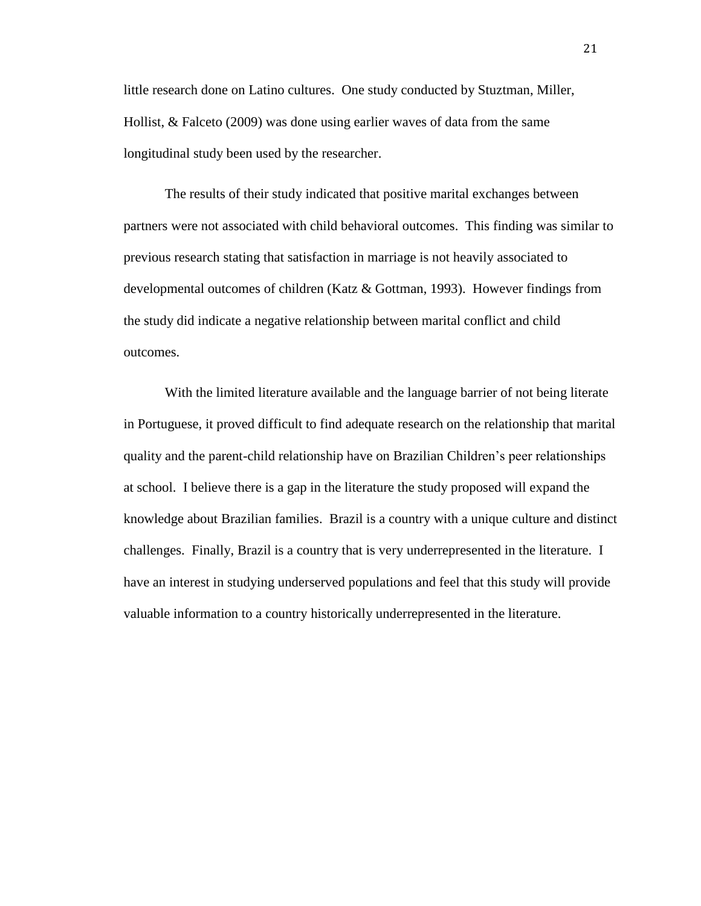little research done on Latino cultures. One study conducted by Stuztman, Miller, Hollist, & Falceto (2009) was done using earlier waves of data from the same longitudinal study been used by the researcher.

The results of their study indicated that positive marital exchanges between partners were not associated with child behavioral outcomes. This finding was similar to previous research stating that satisfaction in marriage is not heavily associated to developmental outcomes of children (Katz & Gottman, 1993). However findings from the study did indicate a negative relationship between marital conflict and child outcomes.

With the limited literature available and the language barrier of not being literate in Portuguese, it proved difficult to find adequate research on the relationship that marital quality and the parent-child relationship have on Brazilian Children's peer relationships at school. I believe there is a gap in the literature the study proposed will expand the knowledge about Brazilian families. Brazil is a country with a unique culture and distinct challenges. Finally, Brazil is a country that is very underrepresented in the literature. I have an interest in studying underserved populations and feel that this study will provide valuable information to a country historically underrepresented in the literature.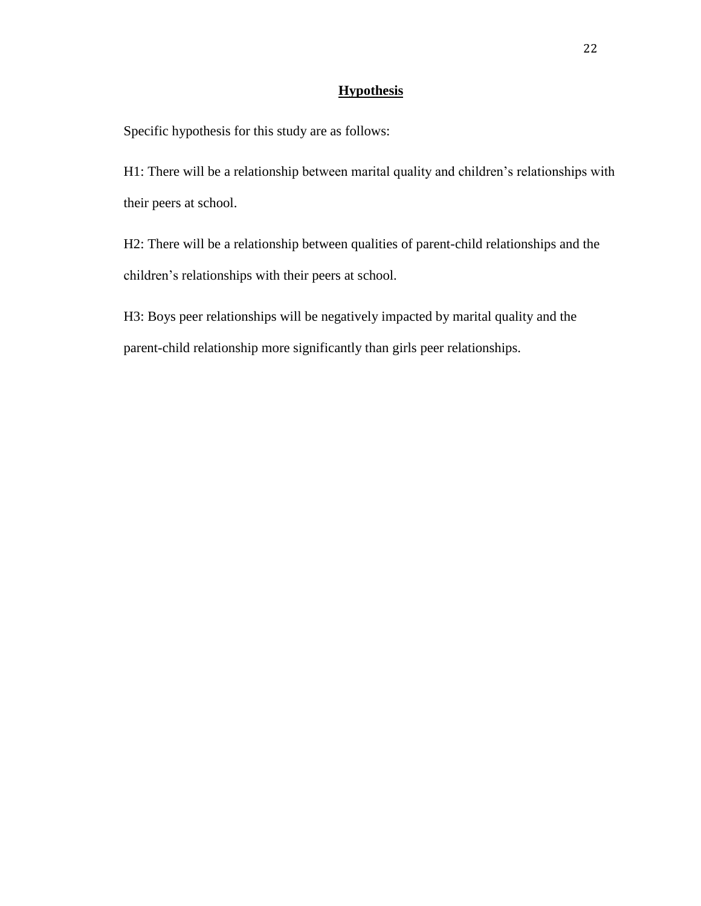# **Hypothesis**

Specific hypothesis for this study are as follows:

H1: There will be a relationship between marital quality and children's relationships with their peers at school.

H2: There will be a relationship between qualities of parent-child relationships and the children's relationships with their peers at school.

H3: Boys peer relationships will be negatively impacted by marital quality and the parent-child relationship more significantly than girls peer relationships.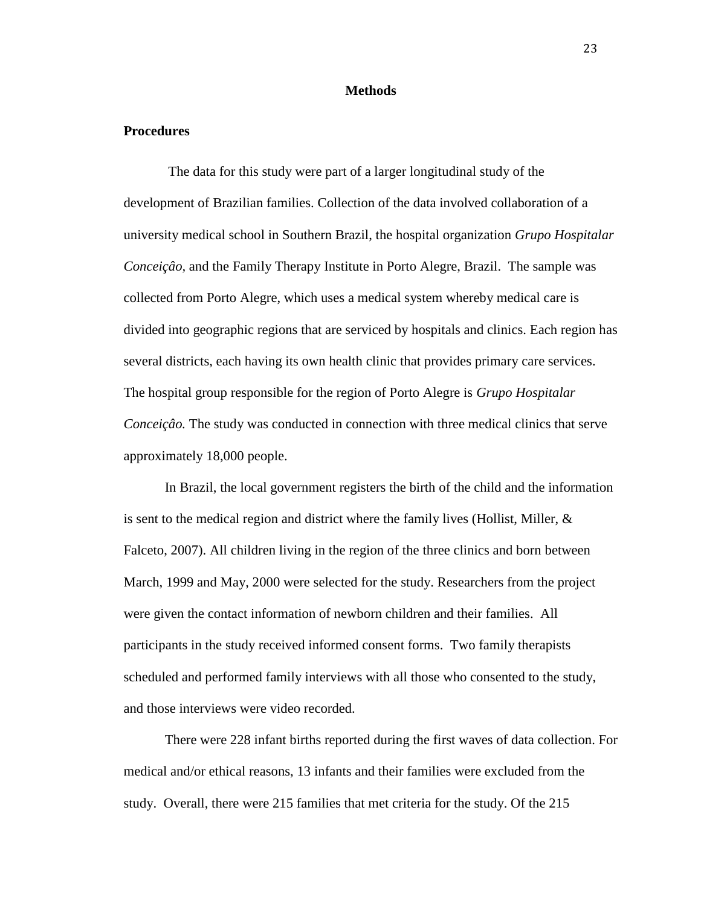#### **Methods**

### **Procedures**

The data for this study were part of a larger longitudinal study of the development of Brazilian families. Collection of the data involved collaboration of a university medical school in Southern Brazil, the hospital organization *Grupo Hospitalar Conceiçâo,* and the Family Therapy Institute in Porto Alegre, Brazil. The sample was collected from Porto Alegre, which uses a medical system whereby medical care is divided into geographic regions that are serviced by hospitals and clinics. Each region has several districts, each having its own health clinic that provides primary care services. The hospital group responsible for the region of Porto Alegre is *Grupo Hospitalar Conceiçâo.* The study was conducted in connection with three medical clinics that serve approximately 18,000 people.

In Brazil, the local government registers the birth of the child and the information is sent to the medical region and district where the family lives (Hollist, Miller,  $\&$ Falceto, 2007). All children living in the region of the three clinics and born between March, 1999 and May, 2000 were selected for the study. Researchers from the project were given the contact information of newborn children and their families. All participants in the study received informed consent forms. Two family therapists scheduled and performed family interviews with all those who consented to the study, and those interviews were video recorded.

There were 228 infant births reported during the first waves of data collection. For medical and/or ethical reasons, 13 infants and their families were excluded from the study. Overall, there were 215 families that met criteria for the study. Of the 215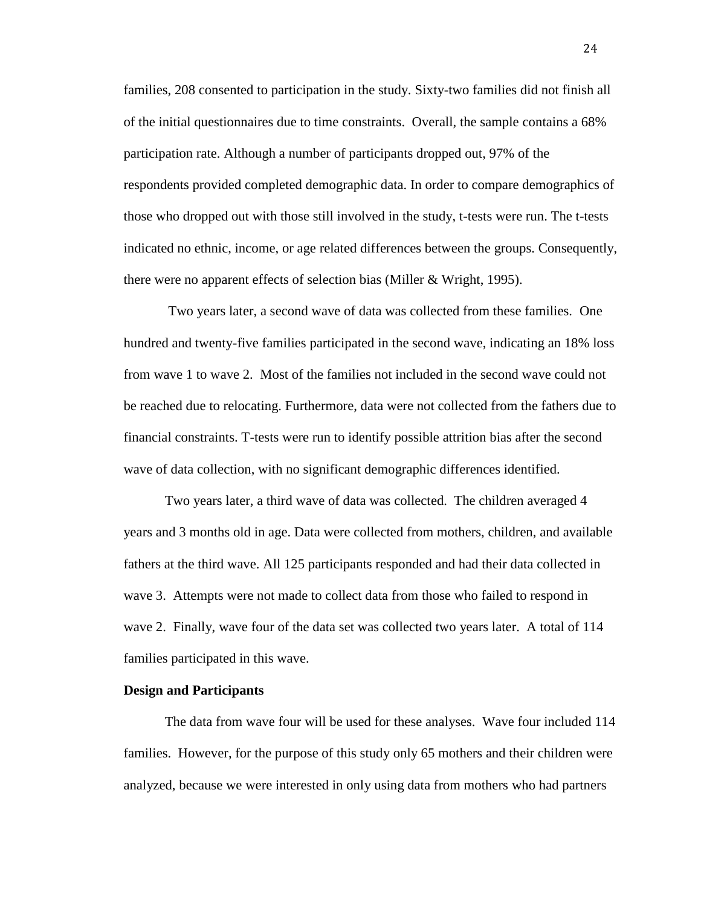families, 208 consented to participation in the study. Sixty-two families did not finish all of the initial questionnaires due to time constraints. Overall, the sample contains a 68% participation rate. Although a number of participants dropped out, 97% of the respondents provided completed demographic data. In order to compare demographics of those who dropped out with those still involved in the study, t-tests were run. The t-tests indicated no ethnic, income, or age related differences between the groups. Consequently, there were no apparent effects of selection bias (Miller & Wright, 1995).

Two years later, a second wave of data was collected from these families. One hundred and twenty-five families participated in the second wave, indicating an 18% loss from wave 1 to wave 2. Most of the families not included in the second wave could not be reached due to relocating. Furthermore, data were not collected from the fathers due to financial constraints. T-tests were run to identify possible attrition bias after the second wave of data collection, with no significant demographic differences identified.

Two years later, a third wave of data was collected. The children averaged 4 years and 3 months old in age. Data were collected from mothers, children, and available fathers at the third wave. All 125 participants responded and had their data collected in wave 3. Attempts were not made to collect data from those who failed to respond in wave 2. Finally, wave four of the data set was collected two years later. A total of 114 families participated in this wave.

#### **Design and Participants**

The data from wave four will be used for these analyses. Wave four included 114 families. However, for the purpose of this study only 65 mothers and their children were analyzed, because we were interested in only using data from mothers who had partners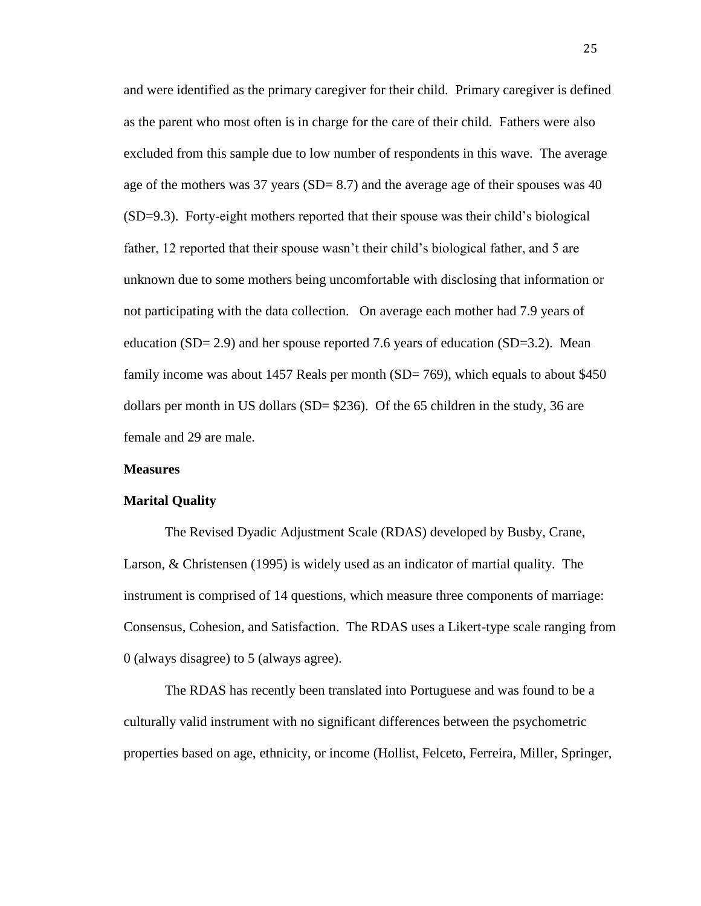and were identified as the primary caregiver for their child. Primary caregiver is defined as the parent who most often is in charge for the care of their child. Fathers were also excluded from this sample due to low number of respondents in this wave. The average age of the mothers was 37 years (SD= 8.7) and the average age of their spouses was 40 (SD=9.3). Forty-eight mothers reported that their spouse was their child's biological father, 12 reported that their spouse wasn't their child's biological father, and 5 are unknown due to some mothers being uncomfortable with disclosing that information or not participating with the data collection. On average each mother had 7.9 years of education (SD= 2.9) and her spouse reported 7.6 years of education (SD=3.2). Mean family income was about 1457 Reals per month (SD= 769), which equals to about \$450 dollars per month in US dollars (SD= \$236). Of the 65 children in the study, 36 are female and 29 are male.

#### **Measures**

#### **Marital Quality**

The Revised Dyadic Adjustment Scale (RDAS) developed by Busby, Crane, Larson, & Christensen (1995) is widely used as an indicator of martial quality. The instrument is comprised of 14 questions, which measure three components of marriage: Consensus, Cohesion, and Satisfaction. The RDAS uses a Likert-type scale ranging from 0 (always disagree) to 5 (always agree).

The RDAS has recently been translated into Portuguese and was found to be a culturally valid instrument with no significant differences between the psychometric properties based on age, ethnicity, or income (Hollist, Felceto, Ferreira, Miller, Springer,

25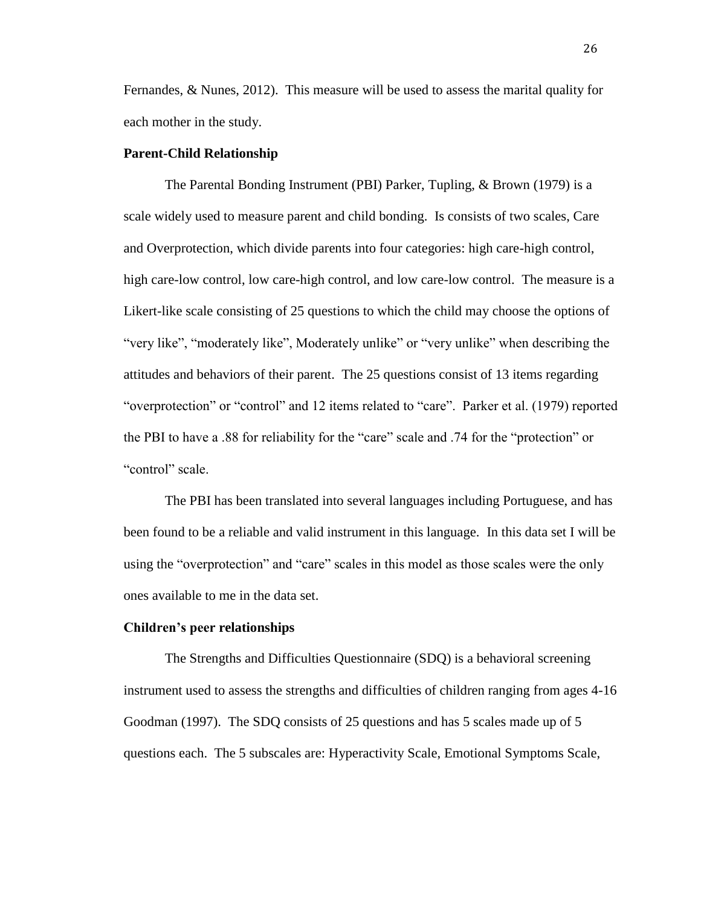Fernandes, & Nunes, 2012). This measure will be used to assess the marital quality for each mother in the study.

#### **Parent-Child Relationship**

The Parental Bonding Instrument (PBI) Parker, Tupling, & Brown (1979) is a scale widely used to measure parent and child bonding. Is consists of two scales, Care and Overprotection, which divide parents into four categories: high care-high control, high care-low control, low care-high control, and low care-low control. The measure is a Likert-like scale consisting of 25 questions to which the child may choose the options of "very like", "moderately like", Moderately unlike" or "very unlike" when describing the attitudes and behaviors of their parent. The 25 questions consist of 13 items regarding "overprotection" or "control" and 12 items related to "care". Parker et al. (1979) reported the PBI to have a .88 for reliability for the "care" scale and .74 for the "protection" or "control" scale.

The PBI has been translated into several languages including Portuguese, and has been found to be a reliable and valid instrument in this language. In this data set I will be using the "overprotection" and "care" scales in this model as those scales were the only ones available to me in the data set.

#### **Children's peer relationships**

The Strengths and Difficulties Questionnaire (SDQ) is a behavioral screening instrument used to assess the strengths and difficulties of children ranging from ages 4-16 Goodman (1997). The SDQ consists of 25 questions and has 5 scales made up of 5 questions each. The 5 subscales are: Hyperactivity Scale, Emotional Symptoms Scale,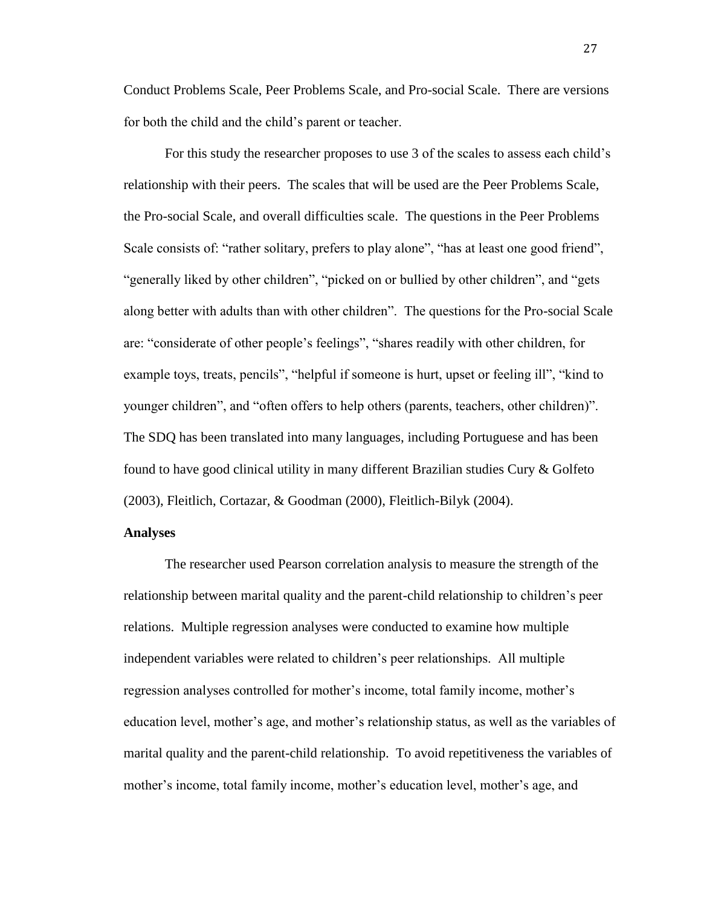Conduct Problems Scale, Peer Problems Scale, and Pro-social Scale. There are versions for both the child and the child's parent or teacher.

For this study the researcher proposes to use 3 of the scales to assess each child's relationship with their peers. The scales that will be used are the Peer Problems Scale, the Pro-social Scale, and overall difficulties scale. The questions in the Peer Problems Scale consists of: "rather solitary, prefers to play alone", "has at least one good friend", "generally liked by other children", "picked on or bullied by other children", and "gets along better with adults than with other children". The questions for the Pro-social Scale are: "considerate of other people's feelings", "shares readily with other children, for example toys, treats, pencils", "helpful if someone is hurt, upset or feeling ill", "kind to younger children", and "often offers to help others (parents, teachers, other children)". The SDQ has been translated into many languages, including Portuguese and has been found to have good clinical utility in many different Brazilian studies Cury & Golfeto (2003), Fleitlich, Cortazar, & Goodman (2000), Fleitlich-Bilyk (2004).

# **Analyses**

The researcher used Pearson correlation analysis to measure the strength of the relationship between marital quality and the parent-child relationship to children's peer relations. Multiple regression analyses were conducted to examine how multiple independent variables were related to children's peer relationships. All multiple regression analyses controlled for mother's income, total family income, mother's education level, mother's age, and mother's relationship status, as well as the variables of marital quality and the parent-child relationship. To avoid repetitiveness the variables of mother's income, total family income, mother's education level, mother's age, and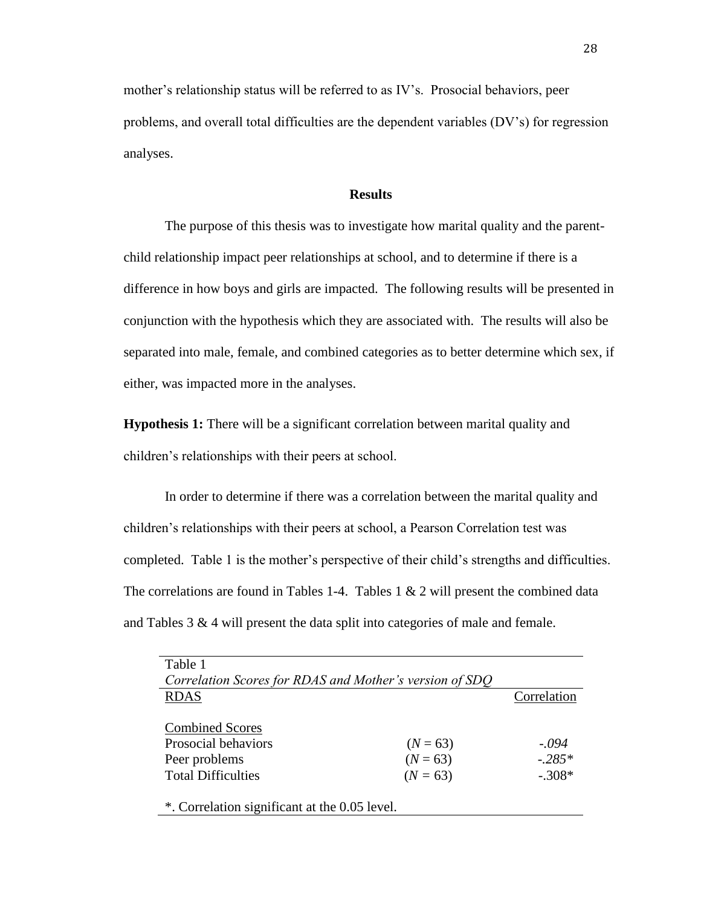mother's relationship status will be referred to as IV's. Prosocial behaviors, peer problems, and overall total difficulties are the dependent variables (DV's) for regression analyses.

#### **Results**

The purpose of this thesis was to investigate how marital quality and the parentchild relationship impact peer relationships at school, and to determine if there is a difference in how boys and girls are impacted. The following results will be presented in conjunction with the hypothesis which they are associated with. The results will also be separated into male, female, and combined categories as to better determine which sex, if either, was impacted more in the analyses.

**Hypothesis 1:** There will be a significant correlation between marital quality and children's relationships with their peers at school.

In order to determine if there was a correlation between the marital quality and children's relationships with their peers at school, a Pearson Correlation test was completed. Table 1 is the mother's perspective of their child's strengths and difficulties. The correlations are found in Tables 1-4. Tables  $1 \& 2$  will present the combined data and Tables 3 & 4 will present the data split into categories of male and female.

| Table 1                                                 |            |             |  |
|---------------------------------------------------------|------------|-------------|--|
| Correlation Scores for RDAS and Mother's version of SDO |            |             |  |
| <b>RDAS</b>                                             |            | Correlation |  |
|                                                         |            |             |  |
| <b>Combined Scores</b>                                  |            |             |  |
| Prosocial behaviors                                     | $(N = 63)$ | $-.094$     |  |
| Peer problems                                           | $(N = 63)$ | $-.285*$    |  |
| <b>Total Difficulties</b>                               | $(N = 63)$ | $-.308*$    |  |
|                                                         |            |             |  |
| *. Correlation significant at the 0.05 level.           |            |             |  |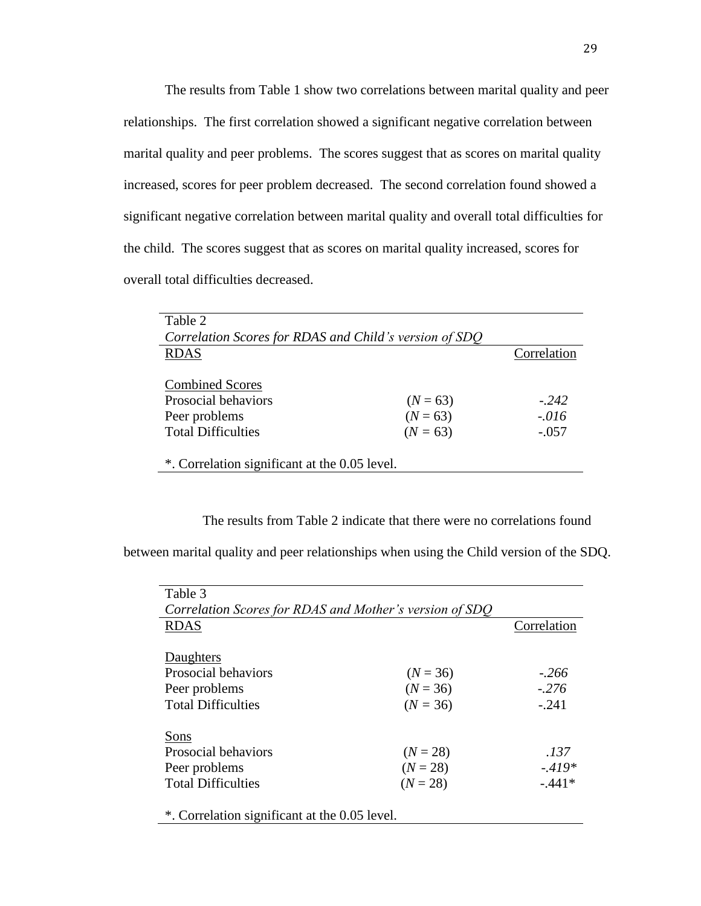The results from Table 1 show two correlations between marital quality and peer relationships. The first correlation showed a significant negative correlation between marital quality and peer problems. The scores suggest that as scores on marital quality increased, scores for peer problem decreased. The second correlation found showed a significant negative correlation between marital quality and overall total difficulties for the child. The scores suggest that as scores on marital quality increased, scores for overall total difficulties decreased.

| Table 2                                       |                                                        |             |  |  |
|-----------------------------------------------|--------------------------------------------------------|-------------|--|--|
|                                               | Correlation Scores for RDAS and Child's version of SDO |             |  |  |
| <b>RDAS</b>                                   |                                                        | Correlation |  |  |
|                                               |                                                        |             |  |  |
| <b>Combined Scores</b>                        |                                                        |             |  |  |
| Prosocial behaviors                           | $(N = 63)$                                             | $-242$      |  |  |
| Peer problems                                 | $(N = 63)$                                             | $-.016$     |  |  |
| <b>Total Difficulties</b>                     | $(N = 63)$                                             | $-.057$     |  |  |
|                                               |                                                        |             |  |  |
| *. Correlation significant at the 0.05 level. |                                                        |             |  |  |

The results from Table 2 indicate that there were no correlations found

between marital quality and peer relationships when using the Child version of the SDQ.

| Table 3                                                 |            |             |  |
|---------------------------------------------------------|------------|-------------|--|
| Correlation Scores for RDAS and Mother's version of SDO |            |             |  |
| <b>RDAS</b>                                             |            | Correlation |  |
|                                                         |            |             |  |
| Daughters                                               |            |             |  |
| Prosocial behaviors                                     | $(N = 36)$ | $-.266$     |  |
| Peer problems                                           | $(N = 36)$ | $-.276$     |  |
| <b>Total Difficulties</b>                               | $(N = 36)$ | $-.241$     |  |
|                                                         |            |             |  |
| Sons                                                    |            |             |  |
| Prosocial behaviors                                     | $(N = 28)$ | .137        |  |
| Peer problems                                           | $(N = 28)$ | $-419*$     |  |
| <b>Total Difficulties</b>                               | $(N = 28)$ | $-.441*$    |  |
|                                                         |            |             |  |
| *. Correlation significant at the 0.05 level.           |            |             |  |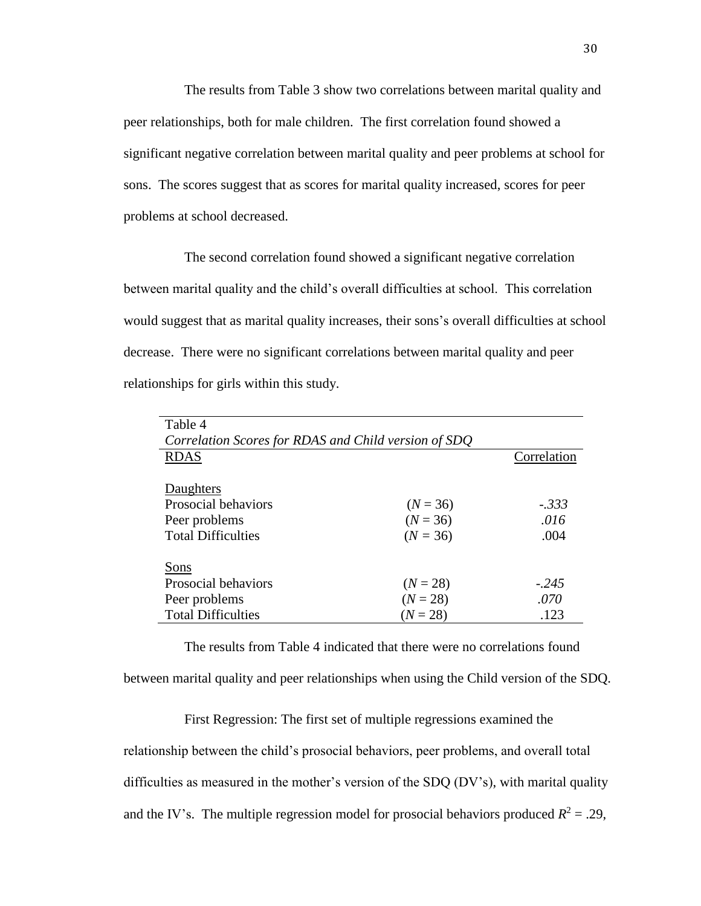The results from Table 3 show two correlations between marital quality and peer relationships, both for male children. The first correlation found showed a significant negative correlation between marital quality and peer problems at school for sons. The scores suggest that as scores for marital quality increased, scores for peer problems at school decreased.

The second correlation found showed a significant negative correlation between marital quality and the child's overall difficulties at school. This correlation would suggest that as marital quality increases, their sons's overall difficulties at school decrease. There were no significant correlations between marital quality and peer relationships for girls within this study.

| Table 4                                              |            |             |  |
|------------------------------------------------------|------------|-------------|--|
| Correlation Scores for RDAS and Child version of SDQ |            |             |  |
| <b>RDAS</b>                                          |            | Correlation |  |
|                                                      |            |             |  |
| Daughters                                            |            |             |  |
| Prosocial behaviors                                  | $(N = 36)$ | $-.333$     |  |
| Peer problems                                        | $(N = 36)$ | .016        |  |
| <b>Total Difficulties</b>                            | $(N = 36)$ | .004        |  |
|                                                      |            |             |  |
| Sons                                                 |            |             |  |
| Prosocial behaviors                                  | $(N = 28)$ | $-.245$     |  |
| Peer problems                                        | $(N = 28)$ | .070        |  |
| <b>Total Difficulties</b>                            | $(N = 28)$ | .123        |  |

The results from Table 4 indicated that there were no correlations found between marital quality and peer relationships when using the Child version of the SDQ.

First Regression: The first set of multiple regressions examined the relationship between the child's prosocial behaviors, peer problems, and overall total difficulties as measured in the mother's version of the SDQ (DV's), with marital quality and the IV's. The multiple regression model for prosocial behaviors produced  $R^2 = .29$ ,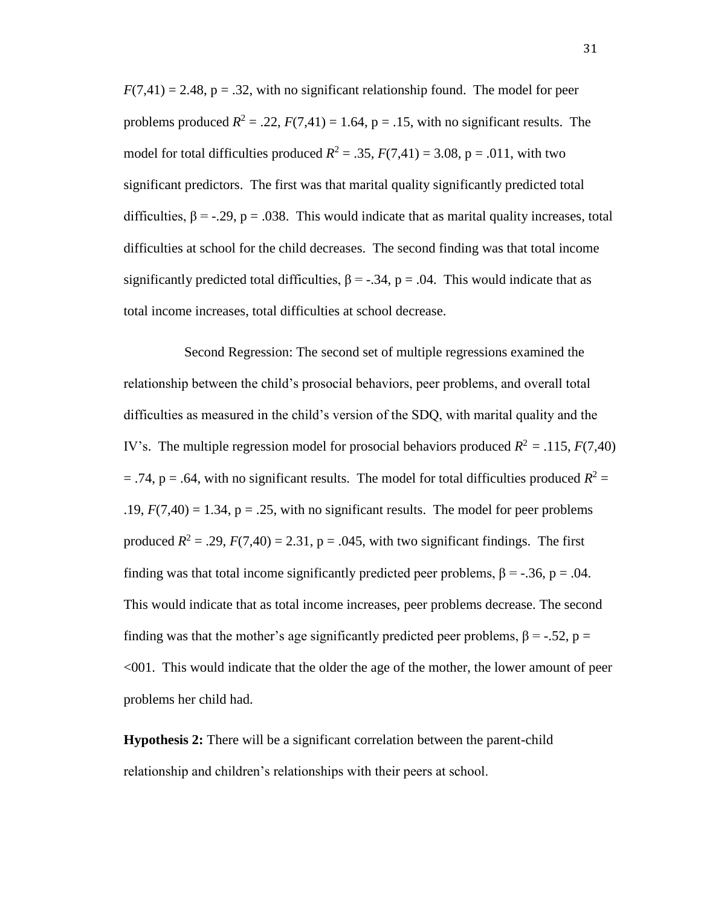$F(7,41) = 2.48$ ,  $p = 0.32$ , with no significant relationship found. The model for peer problems produced  $R^2 = .22$ ,  $F(7,41) = 1.64$ ,  $p = .15$ , with no significant results. The model for total difficulties produced  $R^2 = .35$ ,  $F(7,41) = 3.08$ ,  $p = .011$ , with two significant predictors. The first was that marital quality significantly predicted total difficulties,  $\beta = -0.29$ , p = .038. This would indicate that as marital quality increases, total difficulties at school for the child decreases. The second finding was that total income significantly predicted total difficulties,  $\beta = -.34$ ,  $p = .04$ . This would indicate that as total income increases, total difficulties at school decrease.

Second Regression: The second set of multiple regressions examined the relationship between the child's prosocial behaviors, peer problems, and overall total difficulties as measured in the child's version of the SDQ, with marital quality and the IV's. The multiple regression model for prosocial behaviors produced  $R^2 = .115$ ,  $F(7,40)$  $=$  .74, p = .64, with no significant results. The model for total difficulties produced  $R^2$  = .19,  $F(7,40) = 1.34$ ,  $p = .25$ , with no significant results. The model for peer problems produced  $R^2 = .29$ ,  $F(7,40) = 2.31$ ,  $p = .045$ , with two significant findings. The first finding was that total income significantly predicted peer problems,  $\beta = -.36$ ,  $p = .04$ . This would indicate that as total income increases, peer problems decrease. The second finding was that the mother's age significantly predicted peer problems,  $\beta = -.52$ ,  $p =$ <001. This would indicate that the older the age of the mother, the lower amount of peer problems her child had.

**Hypothesis 2:** There will be a significant correlation between the parent-child relationship and children's relationships with their peers at school.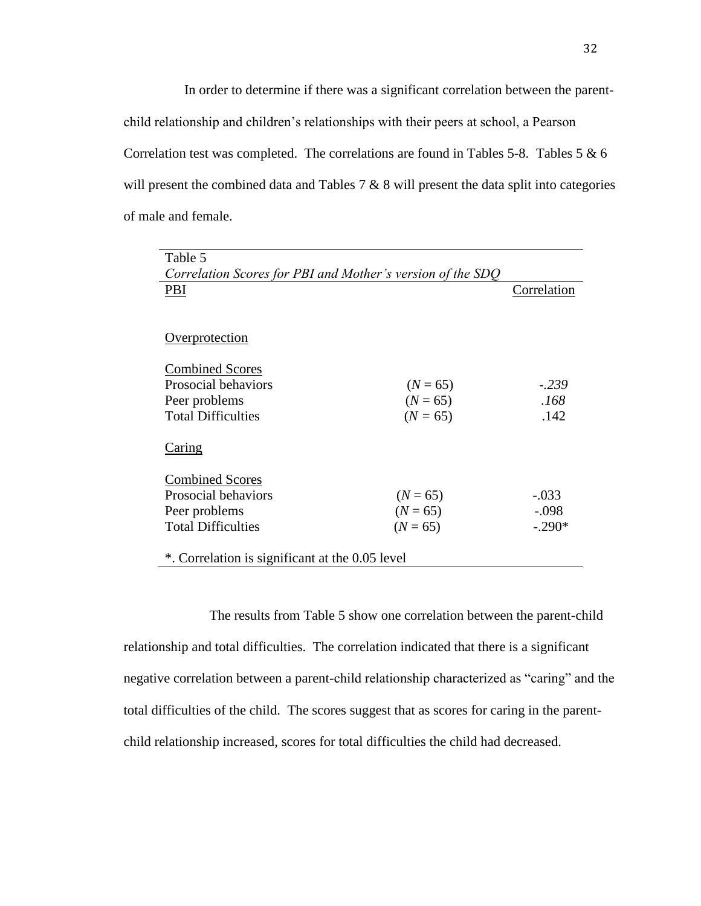In order to determine if there was a significant correlation between the parentchild relationship and children's relationships with their peers at school, a Pearson Correlation test was completed. The correlations are found in Tables 5-8. Tables 5  $\&$  6 will present the combined data and Tables 7 & 8 will present the data split into categories of male and female.

| Table 5                                                    |            |             |  |
|------------------------------------------------------------|------------|-------------|--|
| Correlation Scores for PBI and Mother's version of the SDQ |            |             |  |
| PBI                                                        |            | Correlation |  |
|                                                            |            |             |  |
|                                                            |            |             |  |
| <u>Overprotection</u>                                      |            |             |  |
|                                                            |            |             |  |
| <b>Combined Scores</b>                                     |            |             |  |
| Prosocial behaviors                                        | $(N = 65)$ | $-.239$     |  |
| Peer problems                                              | $(N = 65)$ | .168        |  |
| <b>Total Difficulties</b>                                  | $(N = 65)$ | .142        |  |
|                                                            |            |             |  |
| <u>Caring</u>                                              |            |             |  |
|                                                            |            |             |  |
| <b>Combined Scores</b>                                     |            |             |  |
| Prosocial behaviors                                        | $(N = 65)$ | $-.033$     |  |
| Peer problems                                              | $(N = 65)$ | $-.098$     |  |
| <b>Total Difficulties</b>                                  | $(N = 65)$ | $-.290*$    |  |
|                                                            |            |             |  |
| *. Correlation is significant at the 0.05 level            |            |             |  |

The results from Table 5 show one correlation between the parent-child relationship and total difficulties. The correlation indicated that there is a significant negative correlation between a parent-child relationship characterized as "caring" and the total difficulties of the child. The scores suggest that as scores for caring in the parentchild relationship increased, scores for total difficulties the child had decreased.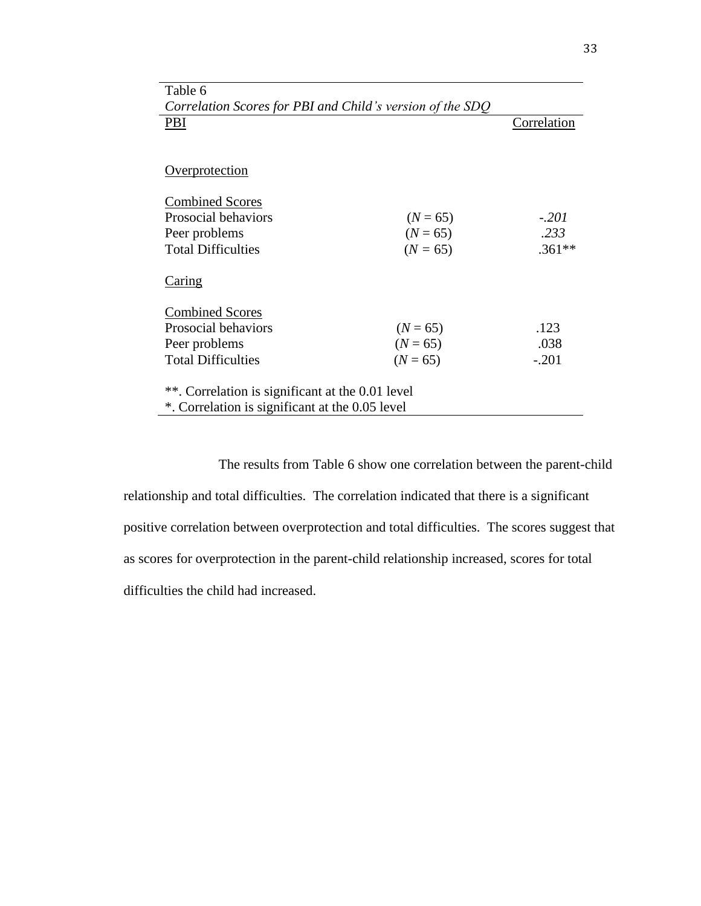| Correlation Scores for PBI and Child's version of the SDO |            |             |  |
|-----------------------------------------------------------|------------|-------------|--|
| PBI                                                       |            | Correlation |  |
|                                                           |            |             |  |
|                                                           |            |             |  |
| Overprotection                                            |            |             |  |
|                                                           |            |             |  |
| <b>Combined Scores</b>                                    |            |             |  |
| Prosocial behaviors                                       | $(N = 65)$ | $-.201$     |  |
| Peer problems                                             | $(N = 65)$ | .233        |  |
| <b>Total Difficulties</b>                                 | $(N = 65)$ | $.361**$    |  |
|                                                           |            |             |  |
| Caring                                                    |            |             |  |
|                                                           |            |             |  |
| <b>Combined Scores</b>                                    |            |             |  |
| Prosocial behaviors                                       | $(N = 65)$ | .123        |  |
| Peer problems                                             | $(N = 65)$ | .038        |  |
| <b>Total Difficulties</b>                                 | $(N = 65)$ | $-.201$     |  |
|                                                           |            |             |  |
| **. Correlation is significant at the 0.01 level          |            |             |  |
| *. Correlation is significant at the 0.05 level           |            |             |  |

Table 6

The results from Table 6 show one correlation between the parent-child relationship and total difficulties. The correlation indicated that there is a significant positive correlation between overprotection and total difficulties. The scores suggest that as scores for overprotection in the parent-child relationship increased, scores for total difficulties the child had increased.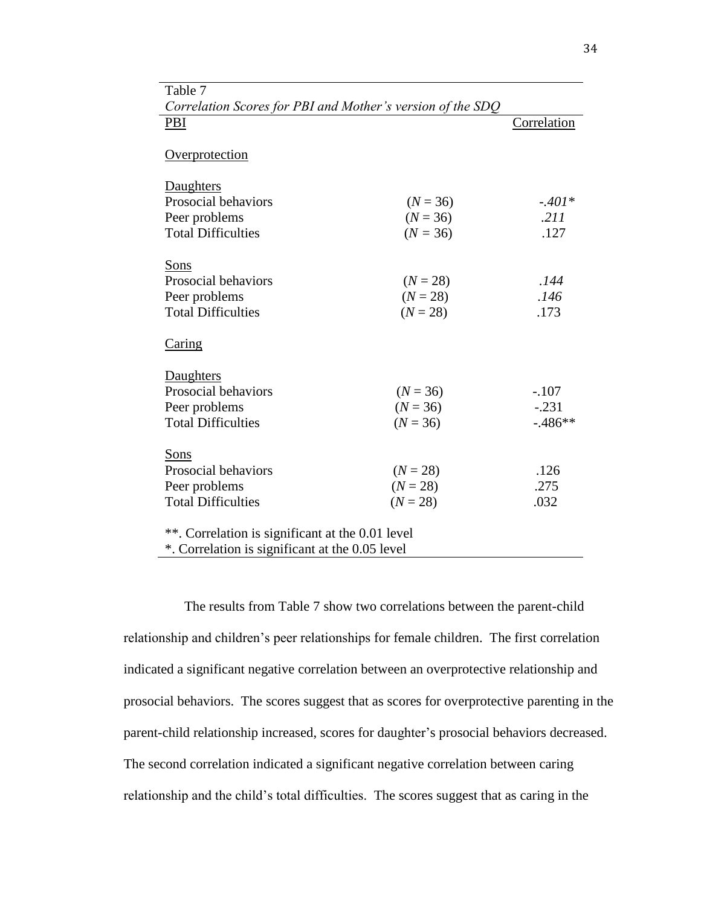| Correlation Scores for PBI and Mother's version of the SDQ |            |             |  |
|------------------------------------------------------------|------------|-------------|--|
| PBI                                                        |            | Correlation |  |
|                                                            |            |             |  |
| Overprotection                                             |            |             |  |
|                                                            |            |             |  |
| Daughters                                                  |            |             |  |
| Prosocial behaviors                                        | $(N = 36)$ | $-.401*$    |  |
| Peer problems                                              | $(N = 36)$ | .211        |  |
| <b>Total Difficulties</b>                                  | $(N = 36)$ | .127        |  |
|                                                            |            |             |  |
| Sons                                                       |            |             |  |
| Prosocial behaviors                                        | $(N = 28)$ | .144        |  |
| Peer problems                                              | $(N = 28)$ | .146        |  |
| <b>Total Difficulties</b>                                  | $(N = 28)$ | .173        |  |
|                                                            |            |             |  |
| Caring                                                     |            |             |  |
|                                                            |            |             |  |
| Daughters                                                  |            |             |  |
| Prosocial behaviors                                        | $(N = 36)$ | $-.107$     |  |
| Peer problems                                              | $(N = 36)$ | $-.231$     |  |
| <b>Total Difficulties</b>                                  | $(N = 36)$ | $-0.486**$  |  |
|                                                            |            |             |  |
| Sons                                                       |            |             |  |
| Prosocial behaviors                                        | $(N = 28)$ | .126        |  |
| Peer problems                                              | $(N = 28)$ | .275        |  |
| <b>Total Difficulties</b>                                  | $(N = 28)$ | .032        |  |
|                                                            |            |             |  |
| **. Correlation is significant at the 0.01 level           |            |             |  |
| *. Correlation is significant at the 0.05 level            |            |             |  |

Table 7

The results from Table 7 show two correlations between the parent-child relationship and children's peer relationships for female children. The first correlation indicated a significant negative correlation between an overprotective relationship and prosocial behaviors. The scores suggest that as scores for overprotective parenting in the parent-child relationship increased, scores for daughter's prosocial behaviors decreased. The second correlation indicated a significant negative correlation between caring relationship and the child's total difficulties. The scores suggest that as caring in the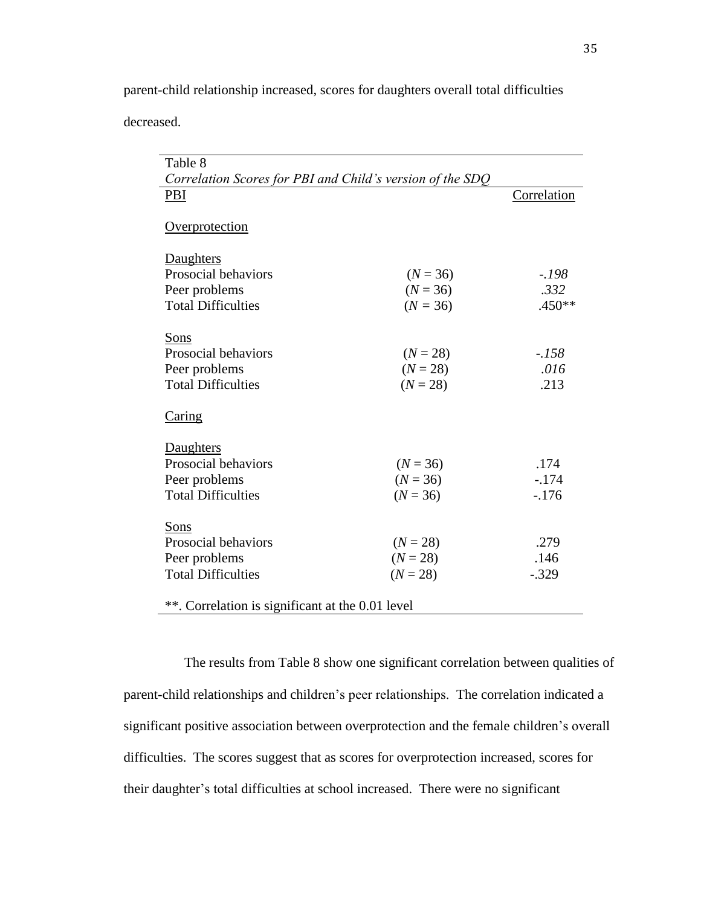parent-child relationship increased, scores for daughters overall total difficulties

decreased.

| Table 8                                                   |            |             |
|-----------------------------------------------------------|------------|-------------|
| Correlation Scores for PBI and Child's version of the SDQ |            |             |
| PBI                                                       |            | Correlation |
|                                                           |            |             |
| Overprotection                                            |            |             |
|                                                           |            |             |
| Daughters                                                 |            |             |
| Prosocial behaviors                                       | $(N = 36)$ | $-.198$     |
| Peer problems                                             | $(N = 36)$ | .332        |
| <b>Total Difficulties</b>                                 | $(N = 36)$ | $.450**$    |
|                                                           |            |             |
| Sons                                                      |            |             |
| Prosocial behaviors                                       | $(N = 28)$ | $-.158$     |
| Peer problems                                             | $(N = 28)$ | .016        |
| <b>Total Difficulties</b>                                 | $(N = 28)$ | .213        |
|                                                           |            |             |
| Caring                                                    |            |             |
| Daughters                                                 |            |             |
| Prosocial behaviors                                       | $(N = 36)$ | .174        |
| Peer problems                                             | $(N = 36)$ | $-.174$     |
| <b>Total Difficulties</b>                                 | $(N = 36)$ | $-.176$     |
|                                                           |            |             |
| Sons                                                      |            |             |
| Prosocial behaviors                                       | $(N = 28)$ | .279        |
| Peer problems                                             | $(N = 28)$ | .146        |
| <b>Total Difficulties</b>                                 | $(N = 28)$ | $-.329$     |
|                                                           |            |             |
| **. Correlation is significant at the 0.01 level          |            |             |

The results from Table 8 show one significant correlation between qualities of parent-child relationships and children's peer relationships. The correlation indicated a significant positive association between overprotection and the female children's overall difficulties. The scores suggest that as scores for overprotection increased, scores for their daughter's total difficulties at school increased. There were no significant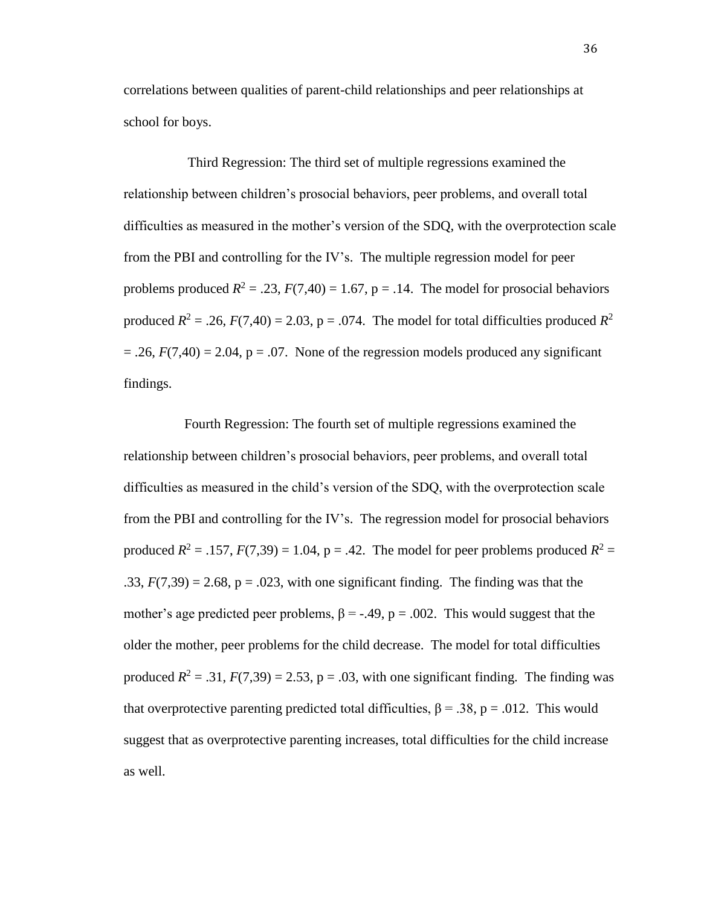correlations between qualities of parent-child relationships and peer relationships at school for boys.

Third Regression: The third set of multiple regressions examined the relationship between children's prosocial behaviors, peer problems, and overall total difficulties as measured in the mother's version of the SDQ, with the overprotection scale from the PBI and controlling for the IV's. The multiple regression model for peer problems produced  $R^2 = .23$ ,  $F(7,40) = 1.67$ ,  $p = .14$ . The model for prosocial behaviors produced  $R^2 = .26$ ,  $F(7,40) = 2.03$ ,  $p = .074$ . The model for total difficulties produced  $R^2$  $= .26$ ,  $F(7,40) = 2.04$ ,  $p = .07$ . None of the regression models produced any significant findings.

Fourth Regression: The fourth set of multiple regressions examined the relationship between children's prosocial behaviors, peer problems, and overall total difficulties as measured in the child's version of the SDQ, with the overprotection scale from the PBI and controlling for the IV's. The regression model for prosocial behaviors produced  $R^2 = .157$ ,  $F(7,39) = 1.04$ ,  $p = .42$ . The model for peer problems produced  $R^2 =$ .33,  $F(7,39) = 2.68$ ,  $p = .023$ , with one significant finding. The finding was that the mother's age predicted peer problems,  $\beta = -.49$ ,  $p = .002$ . This would suggest that the older the mother, peer problems for the child decrease. The model for total difficulties produced  $R^2 = .31$ ,  $F(7,39) = 2.53$ ,  $p = .03$ , with one significant finding. The finding was that overprotective parenting predicted total difficulties,  $\beta = 0.38$ , p = .012. This would suggest that as overprotective parenting increases, total difficulties for the child increase as well.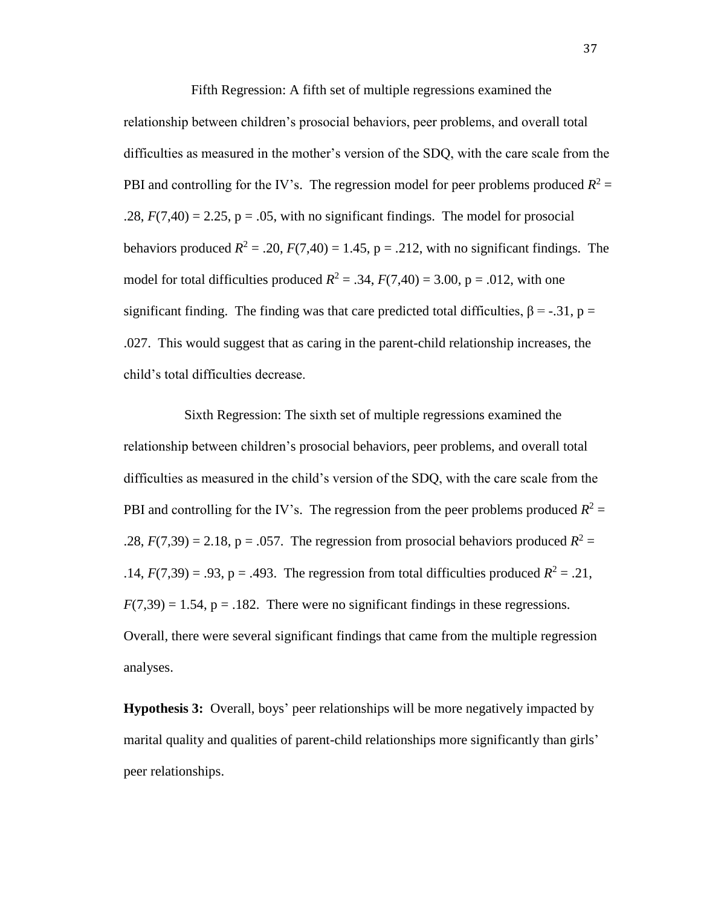Fifth Regression: A fifth set of multiple regressions examined the relationship between children's prosocial behaviors, peer problems, and overall total difficulties as measured in the mother's version of the SDQ, with the care scale from the PBI and controlling for the IV's. The regression model for peer problems produced  $R^2 =$ .28,  $F(7,40) = 2.25$ ,  $p = .05$ , with no significant findings. The model for prosocial behaviors produced  $R^2 = .20$ ,  $F(7,40) = 1.45$ ,  $p = .212$ , with no significant findings. The model for total difficulties produced  $R^2 = .34$ ,  $F(7,40) = 3.00$ , p = .012, with one significant finding. The finding was that care predicted total difficulties,  $\beta = -.31$ ,  $p =$ .027. This would suggest that as caring in the parent-child relationship increases, the child's total difficulties decrease.

Sixth Regression: The sixth set of multiple regressions examined the relationship between children's prosocial behaviors, peer problems, and overall total difficulties as measured in the child's version of the SDQ, with the care scale from the PBI and controlling for the IV's. The regression from the peer problems produced  $R^2 =$ .28,  $F(7,39) = 2.18$ ,  $p = .057$ . The regression from prosocial behaviors produced  $R^2 =$ .14,  $F(7,39) = .93$ ,  $p = .493$ . The regression from total difficulties produced  $R^2 = .21$ ,  $F(7,39) = 1.54$ ,  $p = .182$ . There were no significant findings in these regressions. Overall, there were several significant findings that came from the multiple regression analyses.

**Hypothesis 3:** Overall, boys' peer relationships will be more negatively impacted by marital quality and qualities of parent-child relationships more significantly than girls' peer relationships.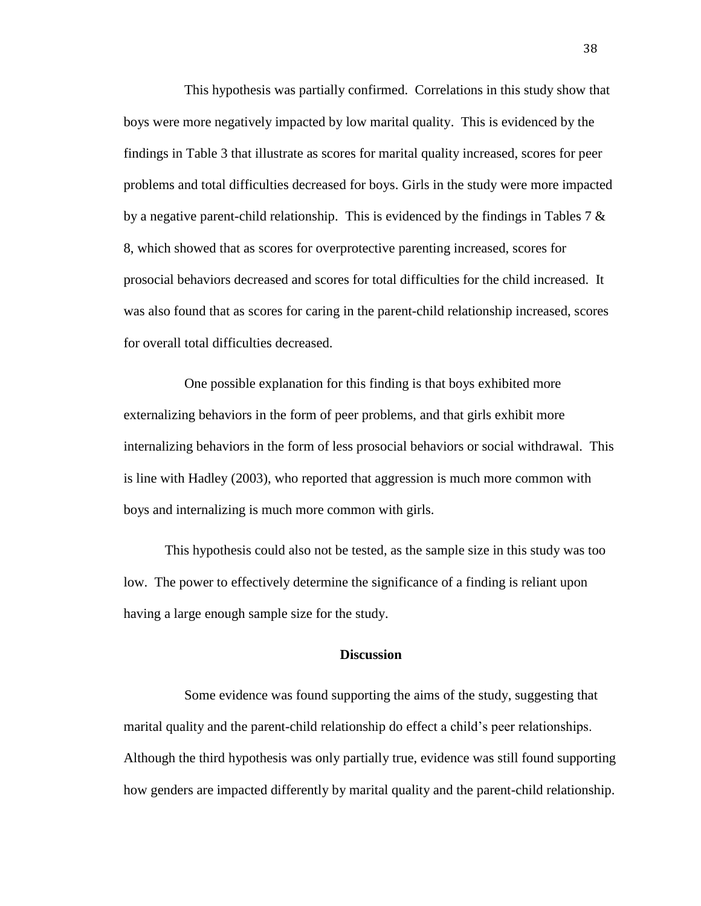This hypothesis was partially confirmed. Correlations in this study show that boys were more negatively impacted by low marital quality. This is evidenced by the findings in Table 3 that illustrate as scores for marital quality increased, scores for peer problems and total difficulties decreased for boys. Girls in the study were more impacted by a negative parent-child relationship. This is evidenced by the findings in Tables 7  $\&$ 8, which showed that as scores for overprotective parenting increased, scores for prosocial behaviors decreased and scores for total difficulties for the child increased. It was also found that as scores for caring in the parent-child relationship increased, scores for overall total difficulties decreased.

One possible explanation for this finding is that boys exhibited more externalizing behaviors in the form of peer problems, and that girls exhibit more internalizing behaviors in the form of less prosocial behaviors or social withdrawal. This is line with Hadley (2003), who reported that aggression is much more common with boys and internalizing is much more common with girls.

This hypothesis could also not be tested, as the sample size in this study was too low. The power to effectively determine the significance of a finding is reliant upon having a large enough sample size for the study.

# **Discussion**

Some evidence was found supporting the aims of the study, suggesting that marital quality and the parent-child relationship do effect a child's peer relationships. Although the third hypothesis was only partially true, evidence was still found supporting how genders are impacted differently by marital quality and the parent-child relationship.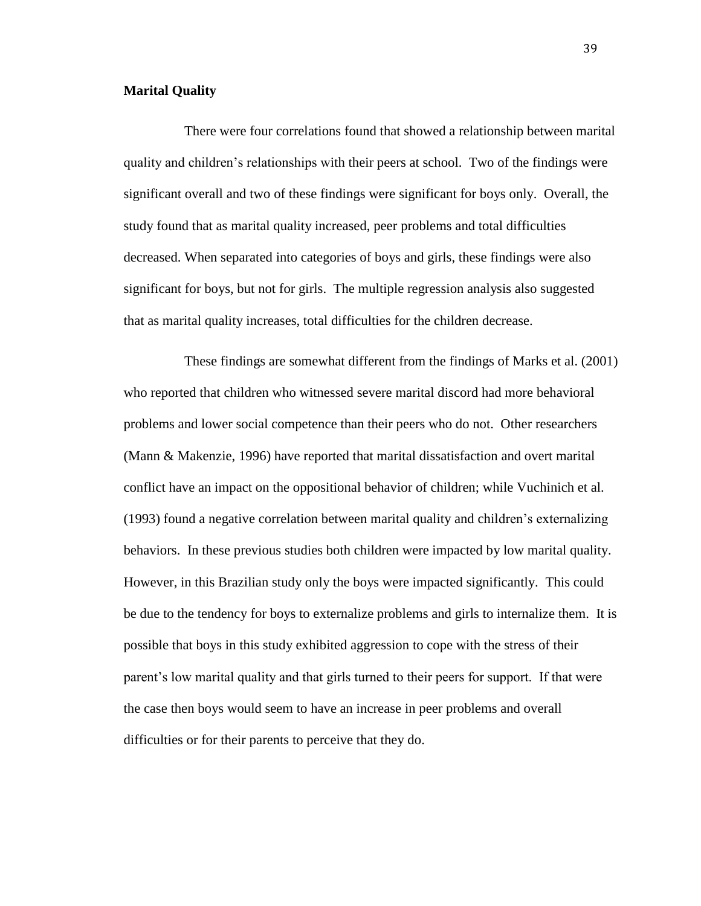#### **Marital Quality**

There were four correlations found that showed a relationship between marital quality and children's relationships with their peers at school. Two of the findings were significant overall and two of these findings were significant for boys only. Overall, the study found that as marital quality increased, peer problems and total difficulties decreased. When separated into categories of boys and girls, these findings were also significant for boys, but not for girls. The multiple regression analysis also suggested that as marital quality increases, total difficulties for the children decrease.

These findings are somewhat different from the findings of Marks et al. (2001) who reported that children who witnessed severe marital discord had more behavioral problems and lower social competence than their peers who do not. Other researchers (Mann & Makenzie, 1996) have reported that marital dissatisfaction and overt marital conflict have an impact on the oppositional behavior of children; while Vuchinich et al. (1993) found a negative correlation between marital quality and children's externalizing behaviors. In these previous studies both children were impacted by low marital quality. However, in this Brazilian study only the boys were impacted significantly. This could be due to the tendency for boys to externalize problems and girls to internalize them. It is possible that boys in this study exhibited aggression to cope with the stress of their parent's low marital quality and that girls turned to their peers for support. If that were the case then boys would seem to have an increase in peer problems and overall difficulties or for their parents to perceive that they do.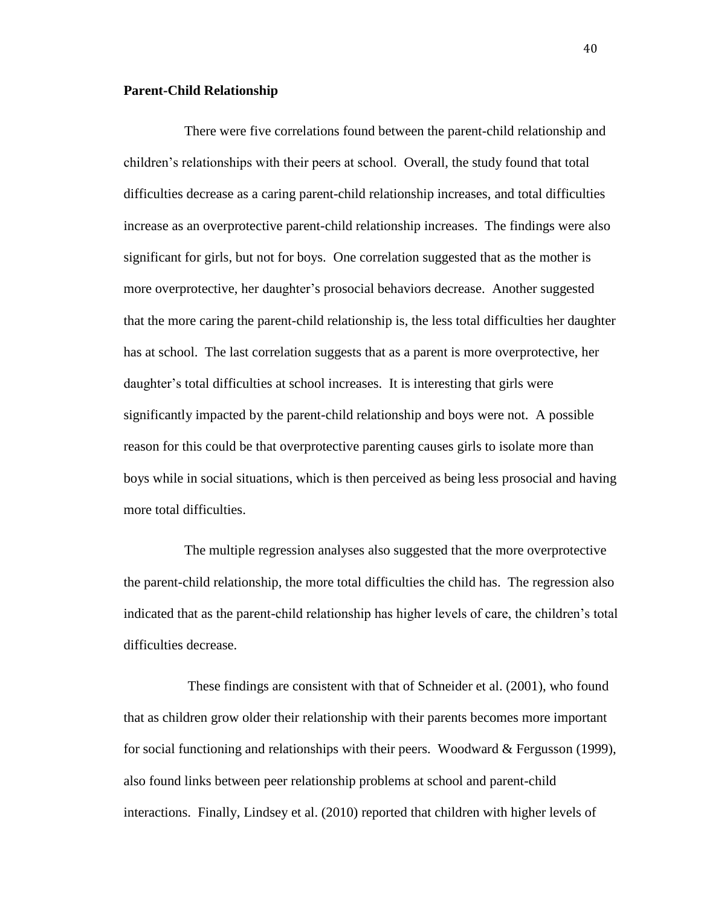#### **Parent-Child Relationship**

There were five correlations found between the parent-child relationship and children's relationships with their peers at school. Overall, the study found that total difficulties decrease as a caring parent-child relationship increases, and total difficulties increase as an overprotective parent-child relationship increases. The findings were also significant for girls, but not for boys. One correlation suggested that as the mother is more overprotective, her daughter's prosocial behaviors decrease. Another suggested that the more caring the parent-child relationship is, the less total difficulties her daughter has at school. The last correlation suggests that as a parent is more overprotective, her daughter's total difficulties at school increases. It is interesting that girls were significantly impacted by the parent-child relationship and boys were not. A possible reason for this could be that overprotective parenting causes girls to isolate more than boys while in social situations, which is then perceived as being less prosocial and having more total difficulties.

The multiple regression analyses also suggested that the more overprotective the parent-child relationship, the more total difficulties the child has. The regression also indicated that as the parent-child relationship has higher levels of care, the children's total difficulties decrease.

These findings are consistent with that of Schneider et al. (2001), who found that as children grow older their relationship with their parents becomes more important for social functioning and relationships with their peers. Woodward & Fergusson (1999), also found links between peer relationship problems at school and parent-child interactions. Finally, Lindsey et al. (2010) reported that children with higher levels of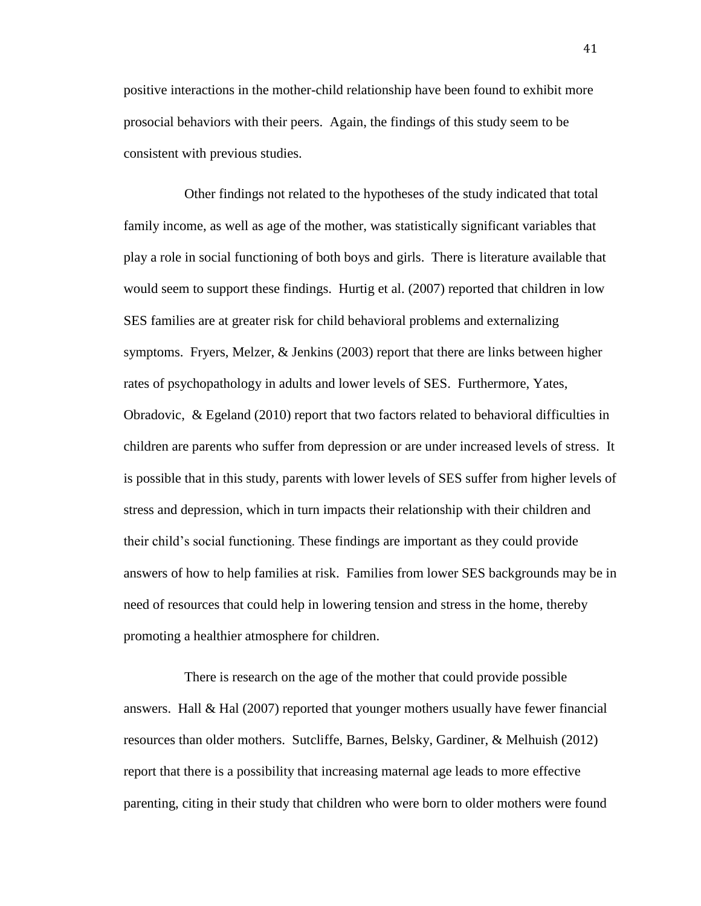positive interactions in the mother-child relationship have been found to exhibit more prosocial behaviors with their peers. Again, the findings of this study seem to be consistent with previous studies.

Other findings not related to the hypotheses of the study indicated that total family income, as well as age of the mother, was statistically significant variables that play a role in social functioning of both boys and girls. There is literature available that would seem to support these findings. Hurtig et al. (2007) reported that children in low SES families are at greater risk for child behavioral problems and externalizing symptoms. Fryers, Melzer, & Jenkins (2003) report that there are links between higher rates of psychopathology in adults and lower levels of SES. Furthermore, Yates, Obradovic, & Egeland (2010) report that two factors related to behavioral difficulties in children are parents who suffer from depression or are under increased levels of stress. It is possible that in this study, parents with lower levels of SES suffer from higher levels of stress and depression, which in turn impacts their relationship with their children and their child's social functioning. These findings are important as they could provide answers of how to help families at risk. Families from lower SES backgrounds may be in need of resources that could help in lowering tension and stress in the home, thereby promoting a healthier atmosphere for children.

There is research on the age of the mother that could provide possible answers. Hall & Hal (2007) reported that younger mothers usually have fewer financial resources than older mothers. Sutcliffe, Barnes, Belsky, Gardiner, & Melhuish (2012) report that there is a possibility that increasing maternal age leads to more effective parenting, citing in their study that children who were born to older mothers were found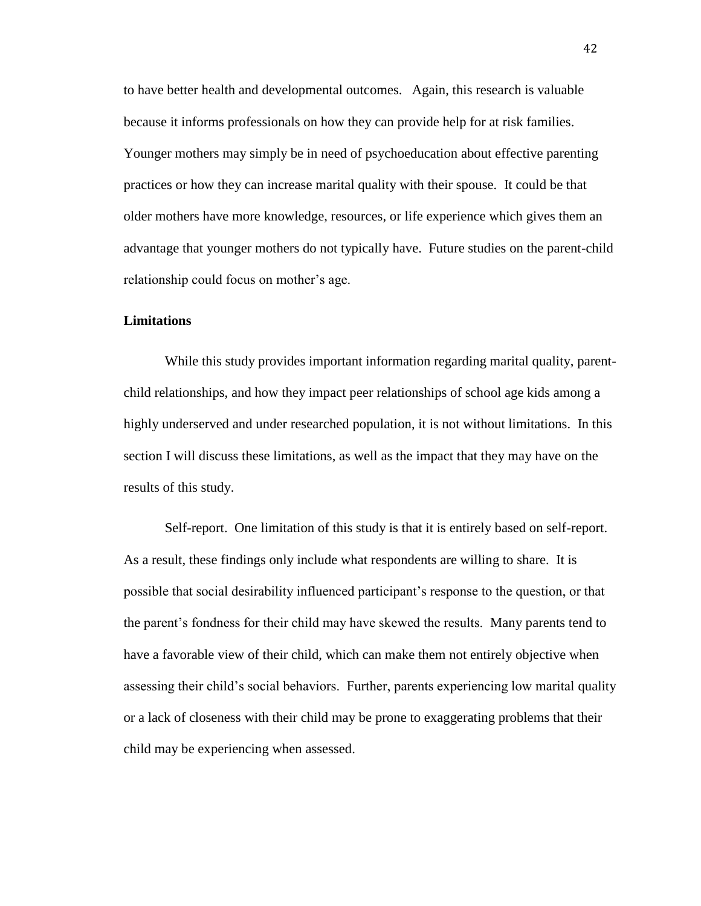to have better health and developmental outcomes. Again, this research is valuable because it informs professionals on how they can provide help for at risk families. Younger mothers may simply be in need of psychoeducation about effective parenting practices or how they can increase marital quality with their spouse. It could be that older mothers have more knowledge, resources, or life experience which gives them an advantage that younger mothers do not typically have. Future studies on the parent-child relationship could focus on mother's age.

# **Limitations**

While this study provides important information regarding marital quality, parentchild relationships, and how they impact peer relationships of school age kids among a highly underserved and under researched population, it is not without limitations. In this section I will discuss these limitations, as well as the impact that they may have on the results of this study.

Self-report. One limitation of this study is that it is entirely based on self-report. As a result, these findings only include what respondents are willing to share. It is possible that social desirability influenced participant's response to the question, or that the parent's fondness for their child may have skewed the results. Many parents tend to have a favorable view of their child, which can make them not entirely objective when assessing their child's social behaviors. Further, parents experiencing low marital quality or a lack of closeness with their child may be prone to exaggerating problems that their child may be experiencing when assessed.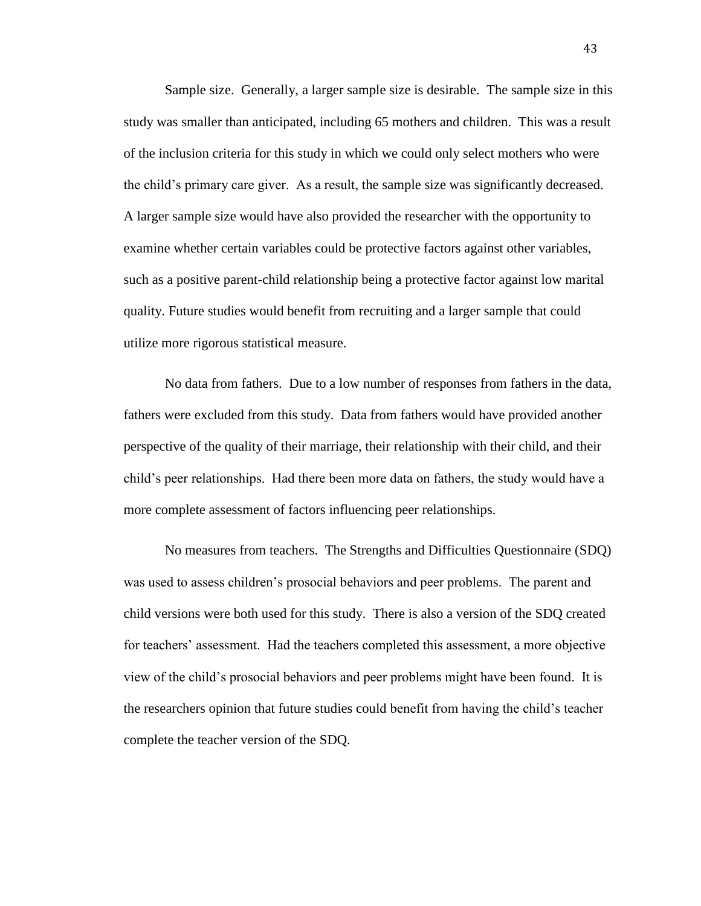Sample size. Generally, a larger sample size is desirable. The sample size in this study was smaller than anticipated, including 65 mothers and children. This was a result of the inclusion criteria for this study in which we could only select mothers who were the child's primary care giver. As a result, the sample size was significantly decreased. A larger sample size would have also provided the researcher with the opportunity to examine whether certain variables could be protective factors against other variables, such as a positive parent-child relationship being a protective factor against low marital quality. Future studies would benefit from recruiting and a larger sample that could utilize more rigorous statistical measure.

 No data from fathers. Due to a low number of responses from fathers in the data, fathers were excluded from this study. Data from fathers would have provided another perspective of the quality of their marriage, their relationship with their child, and their child's peer relationships. Had there been more data on fathers, the study would have a more complete assessment of factors influencing peer relationships.

No measures from teachers. The Strengths and Difficulties Questionnaire (SDQ) was used to assess children's prosocial behaviors and peer problems. The parent and child versions were both used for this study. There is also a version of the SDQ created for teachers' assessment. Had the teachers completed this assessment, a more objective view of the child's prosocial behaviors and peer problems might have been found. It is the researchers opinion that future studies could benefit from having the child's teacher complete the teacher version of the SDQ.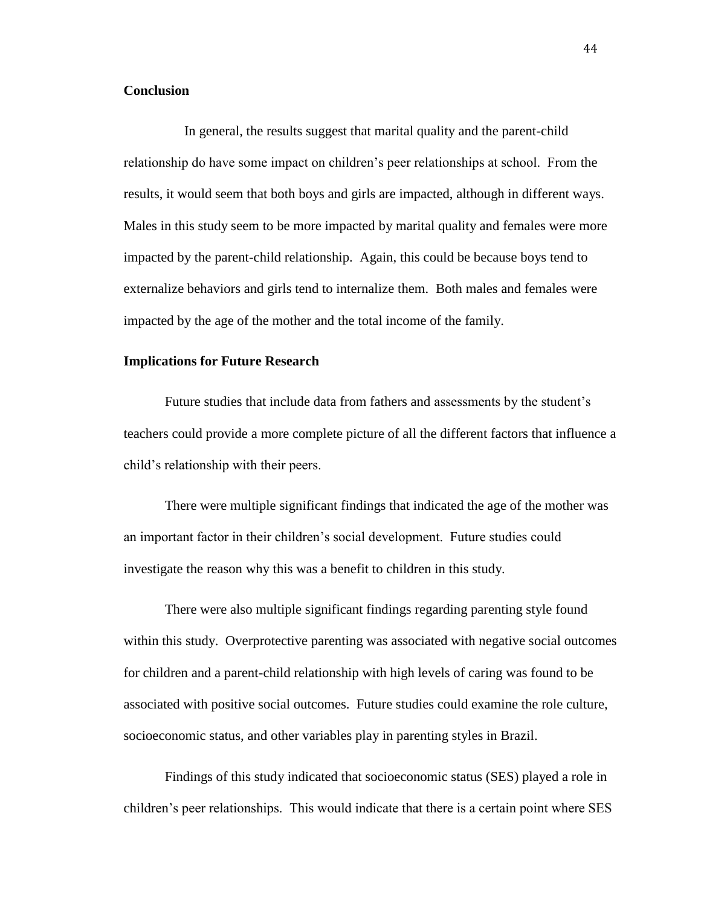# **Conclusion**

In general, the results suggest that marital quality and the parent-child relationship do have some impact on children's peer relationships at school. From the results, it would seem that both boys and girls are impacted, although in different ways. Males in this study seem to be more impacted by marital quality and females were more impacted by the parent-child relationship. Again, this could be because boys tend to externalize behaviors and girls tend to internalize them. Both males and females were impacted by the age of the mother and the total income of the family.

# **Implications for Future Research**

Future studies that include data from fathers and assessments by the student's teachers could provide a more complete picture of all the different factors that influence a child's relationship with their peers.

There were multiple significant findings that indicated the age of the mother was an important factor in their children's social development. Future studies could investigate the reason why this was a benefit to children in this study.

There were also multiple significant findings regarding parenting style found within this study. Overprotective parenting was associated with negative social outcomes for children and a parent-child relationship with high levels of caring was found to be associated with positive social outcomes. Future studies could examine the role culture, socioeconomic status, and other variables play in parenting styles in Brazil.

Findings of this study indicated that socioeconomic status (SES) played a role in children's peer relationships. This would indicate that there is a certain point where SES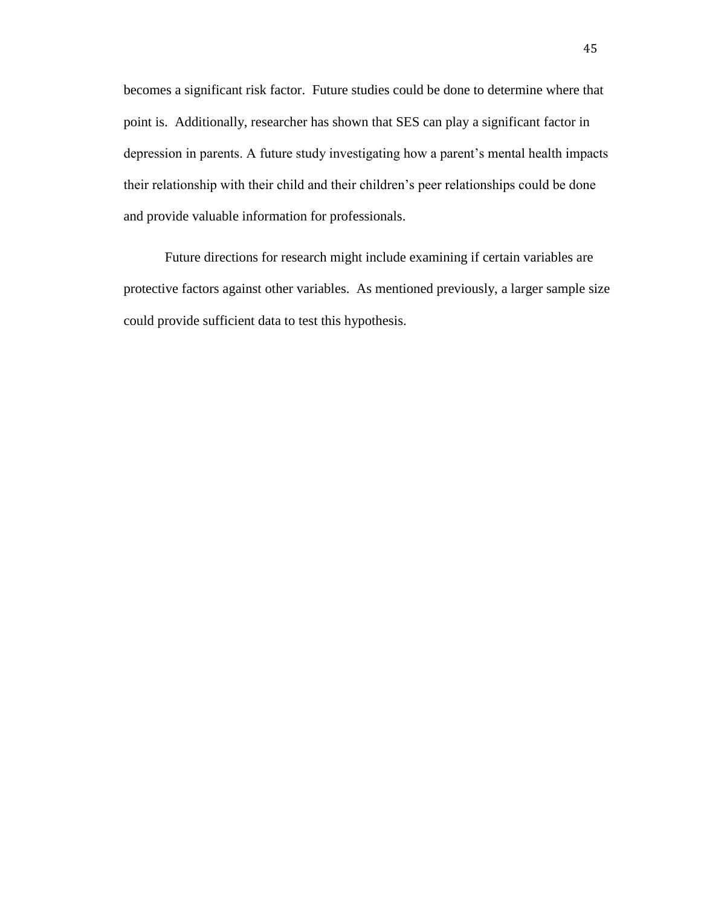becomes a significant risk factor. Future studies could be done to determine where that point is. Additionally, researcher has shown that SES can play a significant factor in depression in parents. A future study investigating how a parent's mental health impacts their relationship with their child and their children's peer relationships could be done and provide valuable information for professionals.

Future directions for research might include examining if certain variables are protective factors against other variables. As mentioned previously, a larger sample size could provide sufficient data to test this hypothesis.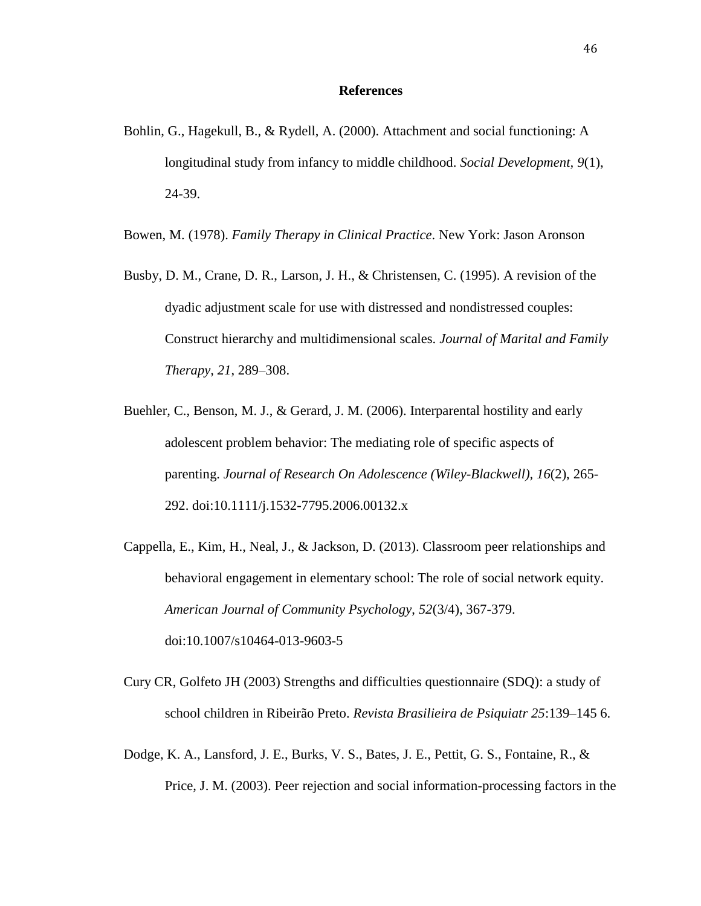### **References**

Bohlin, G., Hagekull, B., & Rydell, A. (2000). Attachment and social functioning: A longitudinal study from infancy to middle childhood. *Social Development, 9*(1), 24-39.

Bowen, M. (1978). *Family Therapy in Clinical Practice*. New York: Jason Aronson

- Busby, D. M., Crane, D. R., Larson, J. H., & Christensen, C. (1995). A revision of the dyadic adjustment scale for use with distressed and nondistressed couples: Construct hierarchy and multidimensional scales. *Journal of Marital and Family Therapy, 21*, 289–308.
- Buehler, C., Benson, M. J., & Gerard, J. M. (2006). Interparental hostility and early adolescent problem behavior: The mediating role of specific aspects of parenting. *Journal of Research On Adolescence (Wiley-Blackwell), 16*(2), 265- 292. doi:10.1111/j.1532-7795.2006.00132.x
- Cappella, E., Kim, H., Neal, J., & Jackson, D. (2013). Classroom peer relationships and behavioral engagement in elementary school: The role of social network equity. *American Journal of Community Psychology*, *52*(3/4), 367-379. doi:10.1007/s10464-013-9603-5
- Cury CR, Golfeto JH (2003) Strengths and difficulties questionnaire (SDQ): a study of school children in Ribeirão Preto. *Revista Brasilieira de Psiquiatr 25*:139–145 6.
- Dodge, K. A., Lansford, J. E., Burks, V. S., Bates, J. E., Pettit, G. S., Fontaine, R., & Price, J. M. (2003). Peer rejection and social information-processing factors in the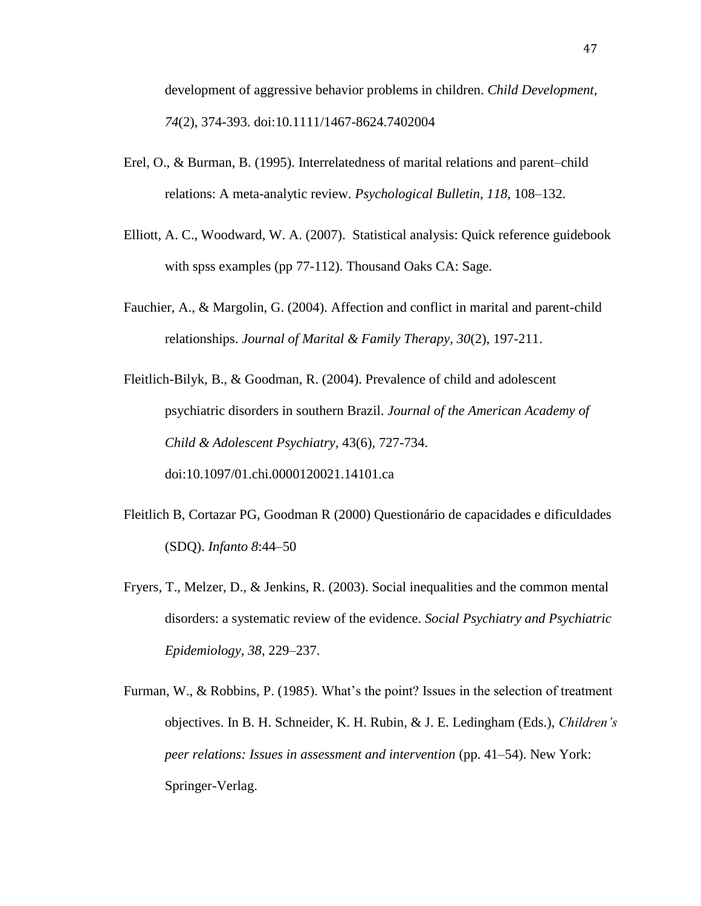development of aggressive behavior problems in children. *Child Development, 74*(2), 374-393. doi:10.1111/1467-8624.7402004

- Erel, O., & Burman, B. (1995). Interrelatedness of marital relations and parent–child relations: A meta-analytic review. *Psychological Bulletin*, *118*, 108–132.
- Elliott, A. C., Woodward, W. A. (2007). Statistical analysis: Quick reference guidebook with spss examples (pp 77-112). Thousand Oaks CA: Sage.
- Fauchier, A., & Margolin, G. (2004). Affection and conflict in marital and parent-child relationships. *Journal of Marital & Family Therapy, 30*(2), 197-211.
- Fleitlich-Bilyk, B., & Goodman, R. (2004). Prevalence of child and adolescent psychiatric disorders in southern Brazil. *Journal of the American Academy of Child & Adolescent Psychiatry,* 43(6), 727-734. doi:10.1097/01.chi.0000120021.14101.ca
- Fleitlich B, Cortazar PG, Goodman R (2000) Questionário de capacidades e dificuldades (SDQ). *Infanto 8*:44–50
- Fryers, T., Melzer, D., & Jenkins, R. (2003). Social inequalities and the common mental disorders: a systematic review of the evidence. *Social Psychiatry and Psychiatric Epidemiology, 38*, 229–237.
- Furman, W., & Robbins, P. (1985). What's the point? Issues in the selection of treatment objectives. In B. H. Schneider, K. H. Rubin, & J. E. Ledingham (Eds.), *Children's peer relations: Issues in assessment and intervention* (pp. 41–54). New York: Springer-Verlag.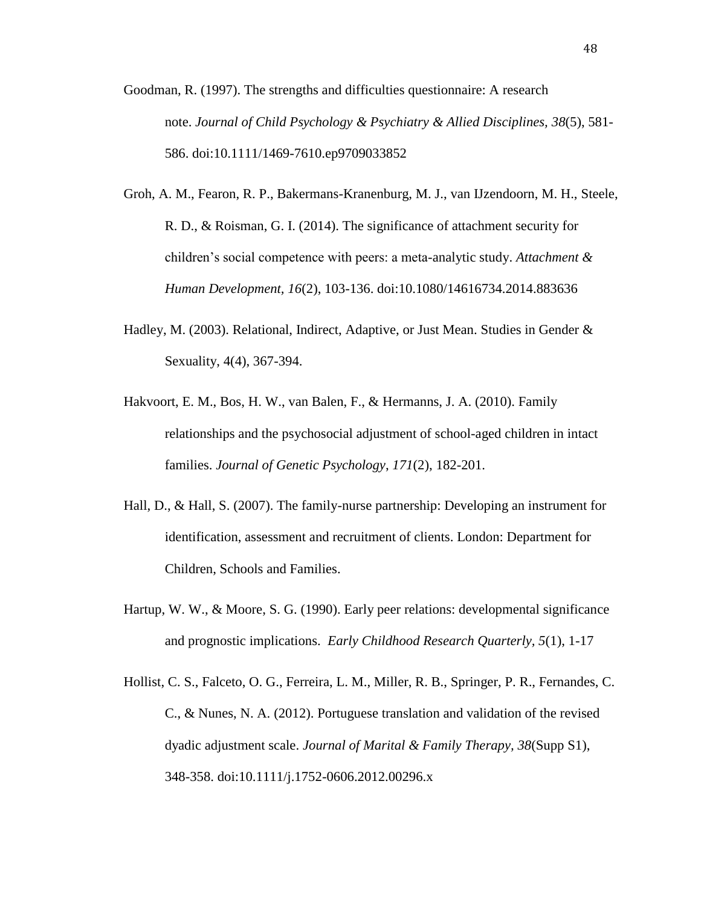- Goodman, R. (1997). The strengths and difficulties questionnaire: A research note. *Journal of Child Psychology & Psychiatry & Allied Disciplines, 38*(5), 581- 586. doi:10.1111/1469-7610.ep9709033852
- Groh, A. M., Fearon, R. P., Bakermans-Kranenburg, M. J., van IJzendoorn, M. H., Steele, R. D., & Roisman, G. I. (2014). The significance of attachment security for children's social competence with peers: a meta-analytic study. *Attachment & Human Development, 16*(2), 103-136. doi:10.1080/14616734.2014.883636
- Hadley, M. (2003). Relational, Indirect, Adaptive, or Just Mean. Studies in Gender & Sexuality, 4(4), 367-394.
- Hakvoort, E. M., Bos, H. W., van Balen, F., & Hermanns, J. A. (2010). Family relationships and the psychosocial adjustment of school-aged children in intact families. *Journal of Genetic Psychology*, *171*(2), 182-201.
- Hall, D., & Hall, S. (2007). The family-nurse partnership: Developing an instrument for identification, assessment and recruitment of clients. London: Department for Children, Schools and Families.
- Hartup, W. W., & Moore, S. G. (1990). Early peer relations: developmental significance and prognostic implications. *Early Childhood Research Quarterly, 5*(1), 1-17
- Hollist, C. S., Falceto, O. G., Ferreira, L. M., Miller, R. B., Springer, P. R., Fernandes, C. C., & Nunes, N. A. (2012). Portuguese translation and validation of the revised dyadic adjustment scale. *Journal of Marital & Family Therapy, 38*(Supp S1), 348-358. doi:10.1111/j.1752-0606.2012.00296.x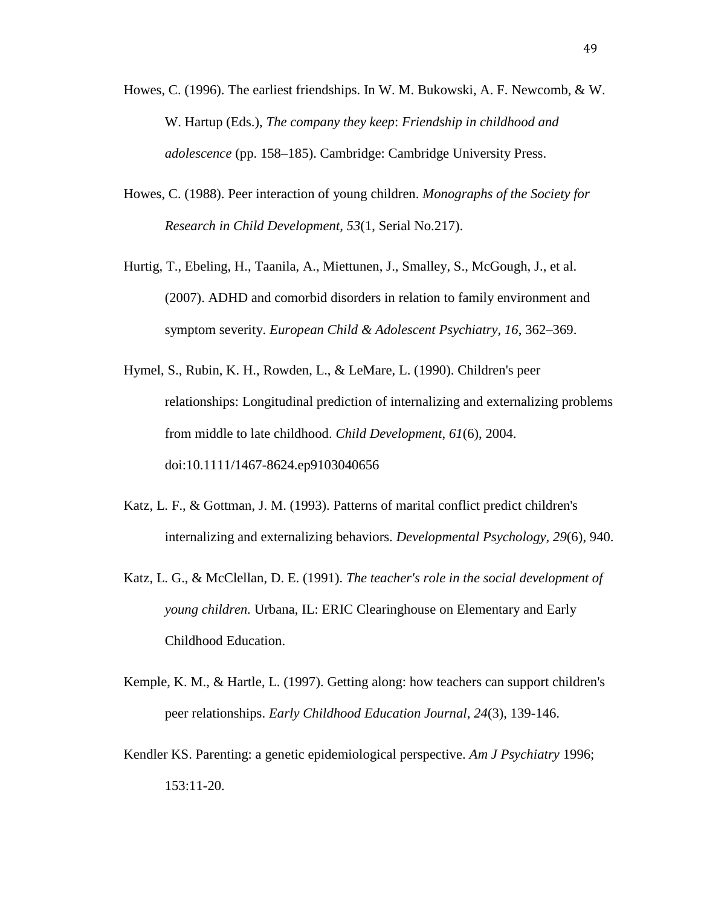- Howes, C. (1996). The earliest friendships. In W. M. Bukowski, A. F. Newcomb, & W. W. Hartup (Eds.), *The company they keep*: *Friendship in childhood and adolescence* (pp. 158–185). Cambridge: Cambridge University Press.
- Howes, C. (1988). Peer interaction of young children. *Monographs of the Society for Research in Child Development, 53*(1, Serial No.217).
- Hurtig, T., Ebeling, H., Taanila, A., Miettunen, J., Smalley, S., McGough, J., et al. (2007). ADHD and comorbid disorders in relation to family environment and symptom severity. *European Child & Adolescent Psychiatry, 16*, 362–369.
- Hymel, S., Rubin, K. H., Rowden, L., & LeMare, L. (1990). Children's peer relationships: Longitudinal prediction of internalizing and externalizing problems from middle to late childhood. *Child Development*, *61*(6), 2004. doi:10.1111/1467-8624.ep9103040656
- Katz, L. F., & Gottman, J. M. (1993). Patterns of marital conflict predict children's internalizing and externalizing behaviors. *Developmental Psychology, 29*(6), 940.
- Katz, L. G., & McClellan, D. E. (1991). *The teacher's role in the social development of young children.* Urbana, IL: ERIC Clearinghouse on Elementary and Early Childhood Education.
- Kemple, K. M., & Hartle, L. (1997). Getting along: how teachers can support children's peer relationships. *Early Childhood Education Journal*, *24*(3), 139-146.
- Kendler KS. Parenting: a genetic epidemiological perspective. *Am J Psychiatry* 1996; 153:11-20.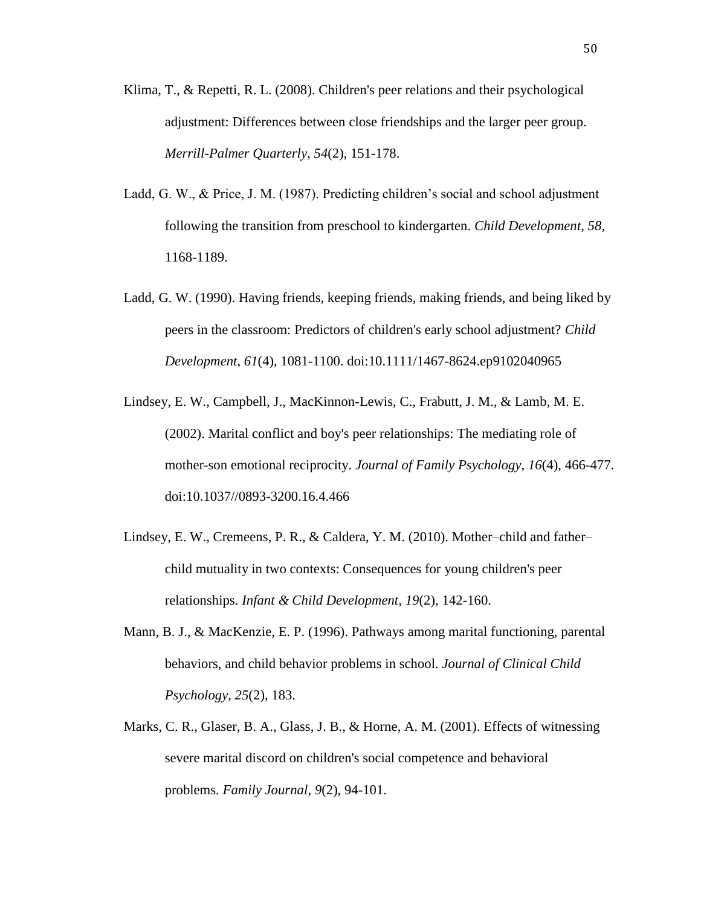- Klima, T., & Repetti, R. L. (2008). Children's peer relations and their psychological adjustment: Differences between close friendships and the larger peer group. *Merrill-Palmer Quarterly*, *54*(2), 151-178.
- Ladd, G. W., & Price, J. M. (1987). Predicting children's social and school adjustment following the transition from preschool to kindergarten. *Child Development, 58*, 1168-1189.
- Ladd, G. W. (1990). Having friends, keeping friends, making friends, and being liked by peers in the classroom: Predictors of children's early school adjustment? *Child Development*, *61*(4), 1081-1100. doi:10.1111/1467-8624.ep9102040965
- Lindsey, E. W., Campbell, J., MacKinnon-Lewis, C., Frabutt, J. M., & Lamb, M. E. (2002). Marital conflict and boy's peer relationships: The mediating role of mother-son emotional reciprocity. *Journal of Family Psychology, 16*(4), 466-477. doi:10.1037//0893-3200.16.4.466
- Lindsey, E. W., Cremeens, P. R., & Caldera, Y. M. (2010). Mother–child and father– child mutuality in two contexts: Consequences for young children's peer relationships. *Infant & Child Development, 19*(2), 142-160.
- Mann, B. J., & MacKenzie, E. P. (1996). Pathways among marital functioning, parental behaviors, and child behavior problems in school. *Journal of Clinical Child Psychology, 25*(2), 183.
- Marks, C. R., Glaser, B. A., Glass, J. B., & Horne, A. M. (2001). Effects of witnessing severe marital discord on children's social competence and behavioral problems. *Family Journal, 9*(2), 94-101.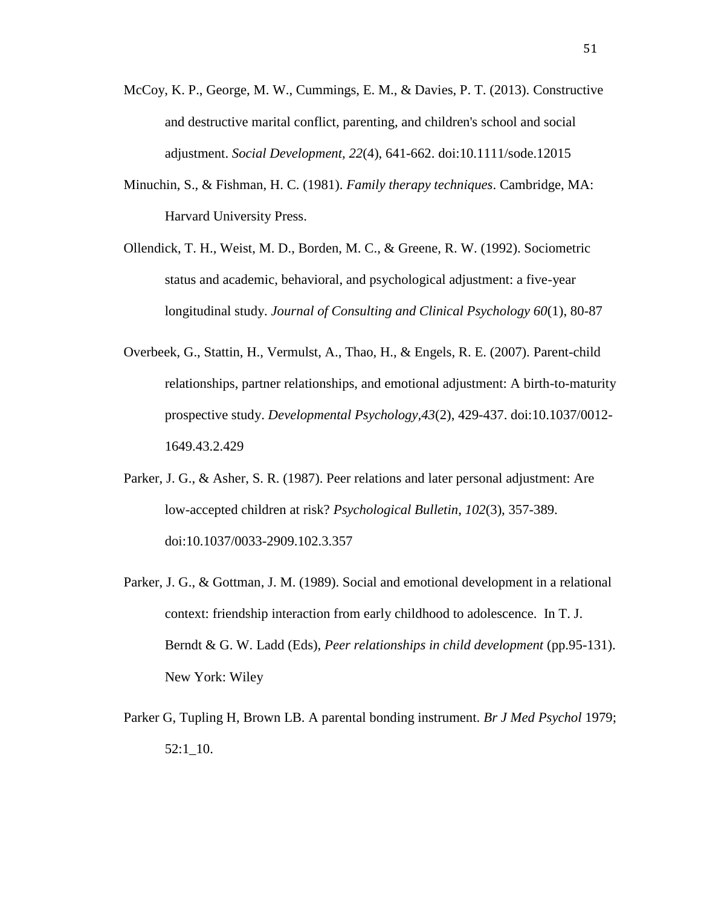- McCoy, K. P., George, M. W., Cummings, E. M., & Davies, P. T. (2013). Constructive and destructive marital conflict, parenting, and children's school and social adjustment. *Social Development, 22*(4), 641-662. doi:10.1111/sode.12015
- Minuchin, S., & Fishman, H. C. (1981). *Family therapy techniques*. Cambridge, MA: Harvard University Press.
- Ollendick, T. H., Weist, M. D., Borden, M. C., & Greene, R. W. (1992). Sociometric status and academic, behavioral, and psychological adjustment: a five-year longitudinal study. *Journal of Consulting and Clinical Psychology 60*(1), 80-87
- Overbeek, G., Stattin, H., Vermulst, A., Thao, H., & Engels, R. E. (2007). Parent-child relationships, partner relationships, and emotional adjustment: A birth-to-maturity prospective study. *Developmental Psychology,43*(2), 429-437. doi:10.1037/0012- 1649.43.2.429
- Parker, J. G., & Asher, S. R. (1987). Peer relations and later personal adjustment: Are low-accepted children at risk? *Psychological Bulletin*, *102*(3), 357-389. doi:10.1037/0033-2909.102.3.357
- Parker, J. G., & Gottman, J. M. (1989). Social and emotional development in a relational context: friendship interaction from early childhood to adolescence. In T. J. Berndt & G. W. Ladd (Eds), *Peer relationships in child development* (pp.95-131). New York: Wiley
- Parker G, Tupling H, Brown LB. A parental bonding instrument. *Br J Med Psychol* 1979; 52:1\_10.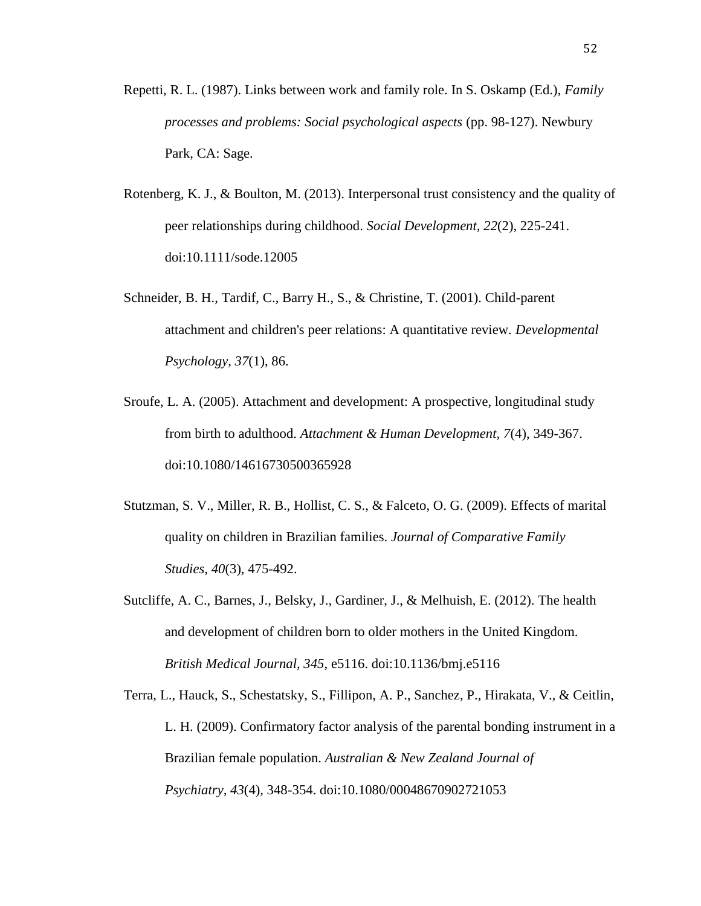- Repetti, R. L. (1987). Links between work and family role. In S. Oskamp (Ed.), *Family processes and problems: Social psychological aspects* (pp. 98-127). Newbury Park, CA: Sage.
- Rotenberg, K. J., & Boulton, M. (2013). Interpersonal trust consistency and the quality of peer relationships during childhood. *Social Development, 22*(2), 225-241. doi:10.1111/sode.12005
- Schneider, B. H., Tardif, C., Barry H., S., & Christine, T. (2001). Child-parent attachment and children's peer relations: A quantitative review. *Developmental Psychology, 37*(1), 86.
- Sroufe, L. A. (2005). Attachment and development: A prospective, longitudinal study from birth to adulthood. *Attachment & Human Development, 7*(4), 349-367. doi:10.1080/14616730500365928
- Stutzman, S. V., Miller, R. B., Hollist, C. S., & Falceto, O. G. (2009). Effects of marital quality on children in Brazilian families. *Journal of Comparative Family Studies, 40*(3), 475-492.
- Sutcliffe, A. C., Barnes, J., Belsky, J., Gardiner, J., & Melhuish, E. (2012). The health and development of children born to older mothers in the United Kingdom. *British Medical Journal, 345*, e5116. doi:10.1136/bmj.e5116
- Terra, L., Hauck, S., Schestatsky, S., Fillipon, A. P., Sanchez, P., Hirakata, V., & Ceitlin, L. H. (2009). Confirmatory factor analysis of the parental bonding instrument in a Brazilian female population. *Australian & New Zealand Journal of Psychiatry, 43*(4), 348-354. doi:10.1080/00048670902721053